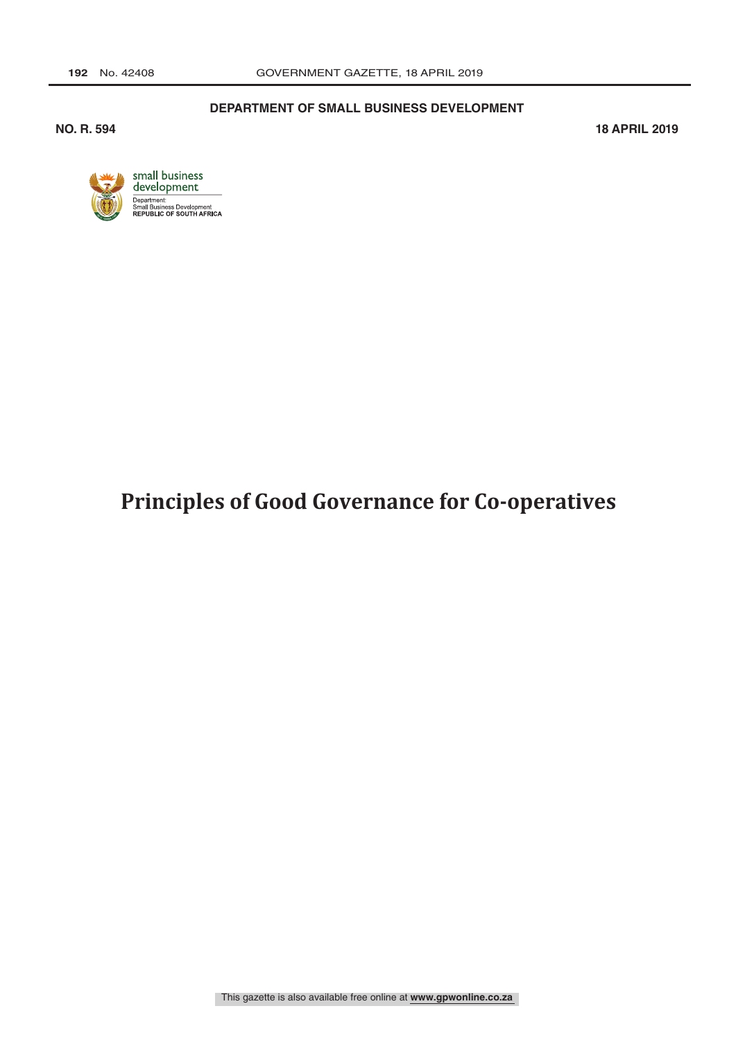#### **DEPARTMENT OF SMALL BUSINESS DEVELOPMENT**

**NO. R. 594 18 APRIL 2019** 



# **Principles of Good Governance for Co-operatives**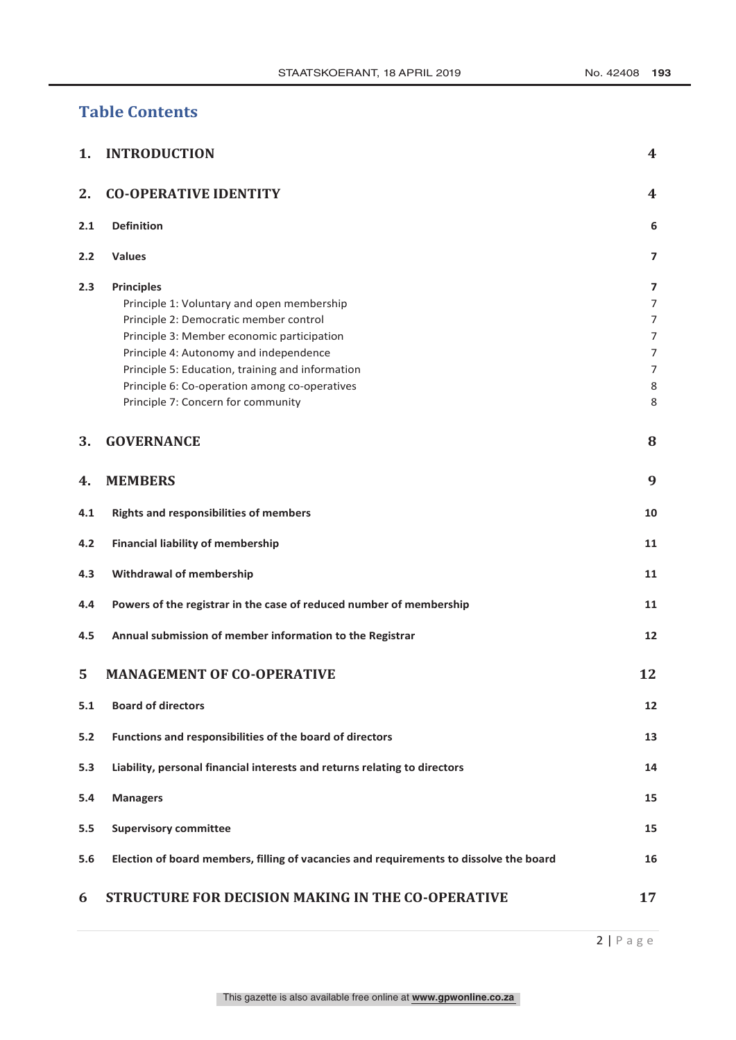# **Table Contents**

| 1.  | <b>INTRODUCTION</b>                                                                                                                                                                                                                                                                                                                          | 4                                    |
|-----|----------------------------------------------------------------------------------------------------------------------------------------------------------------------------------------------------------------------------------------------------------------------------------------------------------------------------------------------|--------------------------------------|
| 2.  | <b>CO-OPERATIVE IDENTITY</b>                                                                                                                                                                                                                                                                                                                 | 4                                    |
| 2.1 | <b>Definition</b>                                                                                                                                                                                                                                                                                                                            | 6                                    |
| 2.2 | <b>Values</b>                                                                                                                                                                                                                                                                                                                                | 7                                    |
| 2.3 | <b>Principles</b><br>Principle 1: Voluntary and open membership<br>Principle 2: Democratic member control<br>Principle 3: Member economic participation<br>Principle 4: Autonomy and independence<br>Principle 5: Education, training and information<br>Principle 6: Co-operation among co-operatives<br>Principle 7: Concern for community | 7<br>7<br>7<br>7<br>7<br>7<br>8<br>8 |
| 3.  | <b>GOVERNANCE</b>                                                                                                                                                                                                                                                                                                                            | 8                                    |
| 4.  | <b>MEMBERS</b>                                                                                                                                                                                                                                                                                                                               | 9                                    |
| 4.1 | <b>Rights and responsibilities of members</b>                                                                                                                                                                                                                                                                                                | 10                                   |
| 4.2 | <b>Financial liability of membership</b>                                                                                                                                                                                                                                                                                                     | 11                                   |
| 4.3 | Withdrawal of membership                                                                                                                                                                                                                                                                                                                     | 11                                   |
| 4.4 | Powers of the registrar in the case of reduced number of membership                                                                                                                                                                                                                                                                          | 11                                   |
| 4.5 | Annual submission of member information to the Registrar                                                                                                                                                                                                                                                                                     | 12                                   |
| 5   | <b>MANAGEMENT OF CO-OPERATIVE</b>                                                                                                                                                                                                                                                                                                            | 12                                   |
| 5.1 | <b>Board of directors</b>                                                                                                                                                                                                                                                                                                                    | 12                                   |
| 5.2 | Functions and responsibilities of the board of directors                                                                                                                                                                                                                                                                                     | 13                                   |
| 5.3 | Liability, personal financial interests and returns relating to directors                                                                                                                                                                                                                                                                    | 14                                   |
| 5.4 | <b>Managers</b>                                                                                                                                                                                                                                                                                                                              | 15                                   |
| 5.5 | <b>Supervisory committee</b>                                                                                                                                                                                                                                                                                                                 | 15                                   |
| 5.6 | Election of board members, filling of vacancies and requirements to dissolve the board                                                                                                                                                                                                                                                       | 16                                   |
| 6   | STRUCTURE FOR DECISION MAKING IN THE CO-OPERATIVE                                                                                                                                                                                                                                                                                            | 17                                   |

2 | Page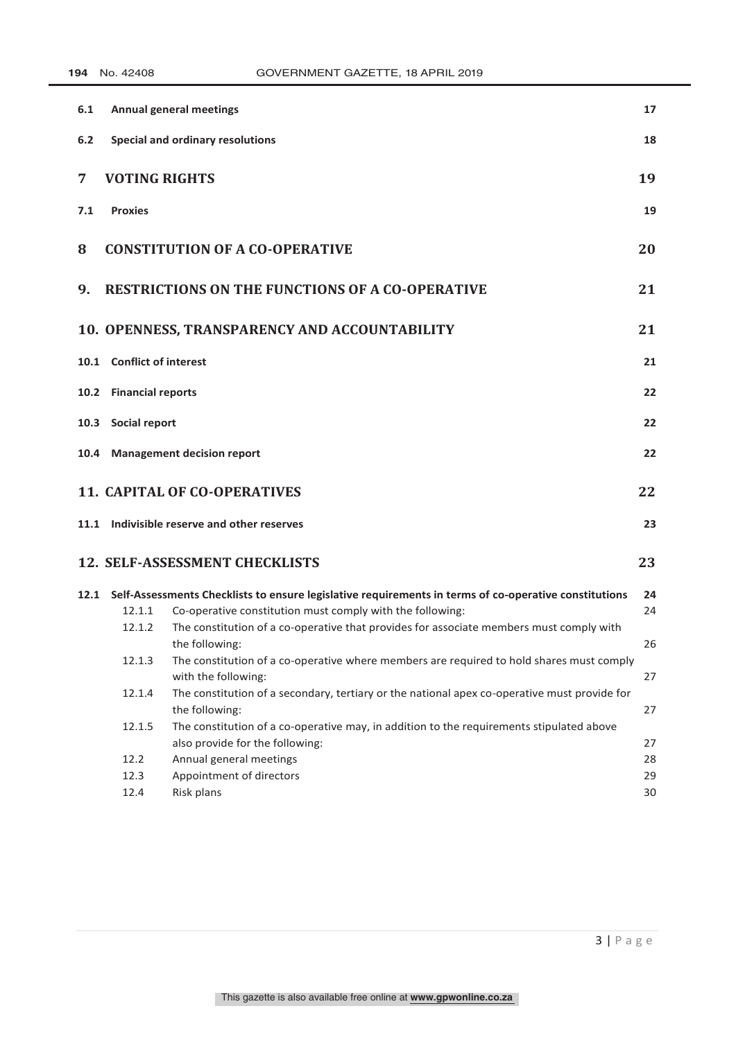| 6.1  |                           | <b>Annual general meetings</b>                                                                                  | 17 |
|------|---------------------------|-----------------------------------------------------------------------------------------------------------------|----|
| 6.2  |                           | Special and ordinary resolutions                                                                                | 18 |
| 7    | <b>VOTING RIGHTS</b>      |                                                                                                                 | 19 |
| 7.1  | <b>Proxies</b>            |                                                                                                                 | 19 |
| 8    |                           | <b>CONSTITUTION OF A CO-OPERATIVE</b>                                                                           | 20 |
| 9.   |                           | <b>RESTRICTIONS ON THE FUNCTIONS OF A CO-OPERATIVE</b>                                                          | 21 |
|      |                           | 10. OPENNESS, TRANSPARENCY AND ACCOUNTABILITY                                                                   | 21 |
|      | 10.1 Conflict of interest |                                                                                                                 | 21 |
|      | 10.2 Financial reports    |                                                                                                                 | 22 |
| 10.3 | Social report             |                                                                                                                 | 22 |
| 10.4 |                           | <b>Management decision report</b>                                                                               | 22 |
|      |                           | <b>11. CAPITAL OF CO-OPERATIVES</b>                                                                             | 22 |
|      |                           | 11.1 Indivisible reserve and other reserves                                                                     | 23 |
|      |                           | <b>12. SELF-ASSESSMENT CHECKLISTS</b>                                                                           | 23 |
|      |                           | 12.1 Self-Assessments Checklists to ensure legislative requirements in terms of co-operative constitutions      | 24 |
|      | 12.1.1                    | Co-operative constitution must comply with the following:                                                       | 24 |
|      | 12.1.2                    | The constitution of a co-operative that provides for associate members must comply with<br>the following:       | 26 |
|      | 12.1.3                    | The constitution of a co-operative where members are required to hold shares must comply<br>with the following: | 27 |
|      | 12.1.4                    | The constitution of a secondary, tertiary or the national apex co-operative must provide for<br>the following:  | 27 |
|      | 12.1.5                    | The constitution of a co-operative may, in addition to the requirements stipulated above                        |    |
|      |                           | also provide for the following:                                                                                 | 27 |
|      | 12.2                      | Annual general meetings                                                                                         | 28 |
|      | 12.3                      | Appointment of directors                                                                                        | 29 |
|      | 12.4                      | Risk plans                                                                                                      | 30 |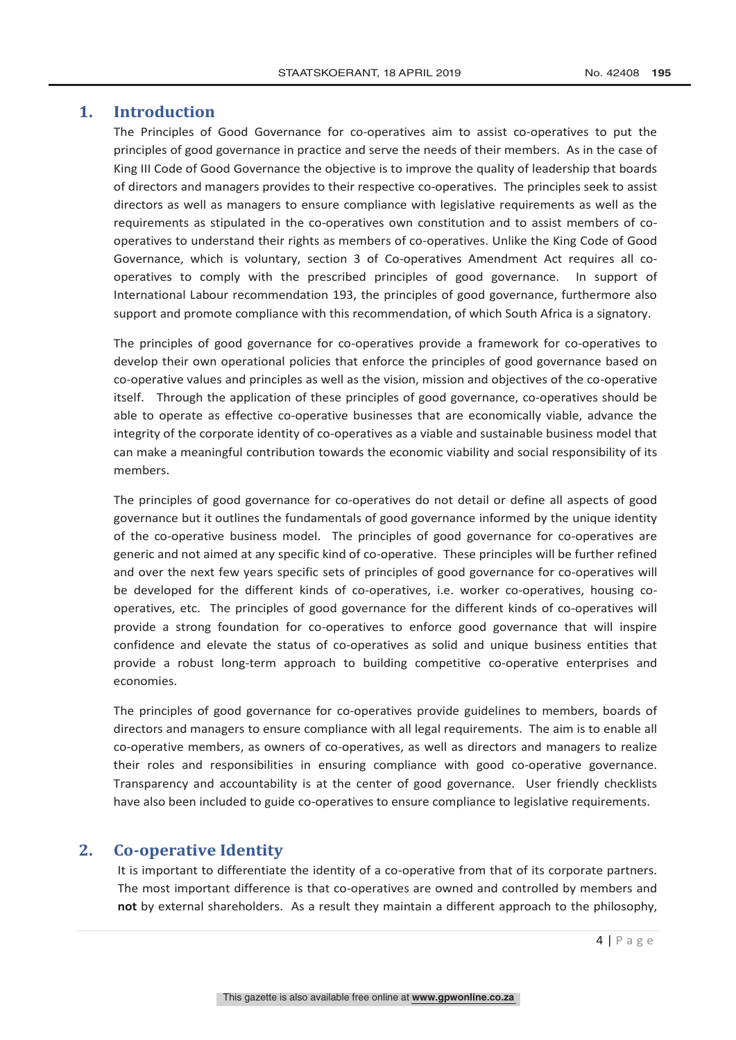# **1. Introduction**

The Principles of Good Governance for co-operatives aim to assist co-operatives to put the principles of good governance in practice and serve the needs of their members. As in the case of King III Code of Good Governance the objective is to improve the quality of leadership that boards of directors and managers provides to their respective co-operatives. The principles seek to assist directors as well as managers to ensure compliance with legislative requirements as well as the requirements as stipulated in the co-operatives own constitution and to assist members of cooperatives to understand their rights as members of co-operatives. Unlike the King Code of Good Governance, which is voluntary, section 3 of Co-operatives Amendment Act requires all cooperatives to comply with the prescribed principles of good governance. In support of International Labour recommendation 193, the principles of good governance, furthermore also support and promote compliance with this recommendation, of which South Africa is a signatory.

The principles of good governance for co-operatives provide a framework for co-operatives to develop their own operational policies that enforce the principles of good governance based on co-operative values and principles as well as the vision, mission and objectives of the co-operative itself. Through the application of these principles of good governance, co-operatives should be able to operate as effective co-operative businesses that are economically viable, advance the integrity of the corporate identity of co-operatives as a viable and sustainable business model that can make a meaningful contribution towards the economic viability and social responsibility of its members.

The principles of good governance for co-operatives do not detail or define all aspects of good governance but it outlines the fundamentals of good governance informed by the unique identity of the co-operative business model. The principles of good governance for co-operatives are generic and not aimed at any specific kind of co-operative. These principles will be further refined and over the next few years specific sets of principles of good governance for co-operatives will be developed for the different kinds of co-operatives, i.e. worker co-operatives, housing cooperatives, etc. The principles of good governance for the different kinds of co-operatives will provide a strong foundation for co-operatives to enforce good governance that will inspire confidence and elevate the status of co-operatives as solid and unique business entities that provide a robust long-term approach to building competitive co-operative enterprises and economies.

The principles of good governance for co-operatives provide guidelines to members, boards of directors and managers to ensure compliance with all legal requirements. The aim is to enable all co-operative members, as owners of co-operatives, as well as directors and managers to realize their roles and responsibilities in ensuring compliance with good co-operative governance. Transparency and accountability is at the center of good governance. User friendly checklists have also been included to guide co-operatives to ensure compliance to legislative requirements.

# **2. Co-operative Identity**

It is important to differentiate the identity of a co-operative from that of its corporate partners. The most important difference is that co-operatives are owned and controlled by members and **not** by external shareholders. As a result they maintain a different approach to the philosophy,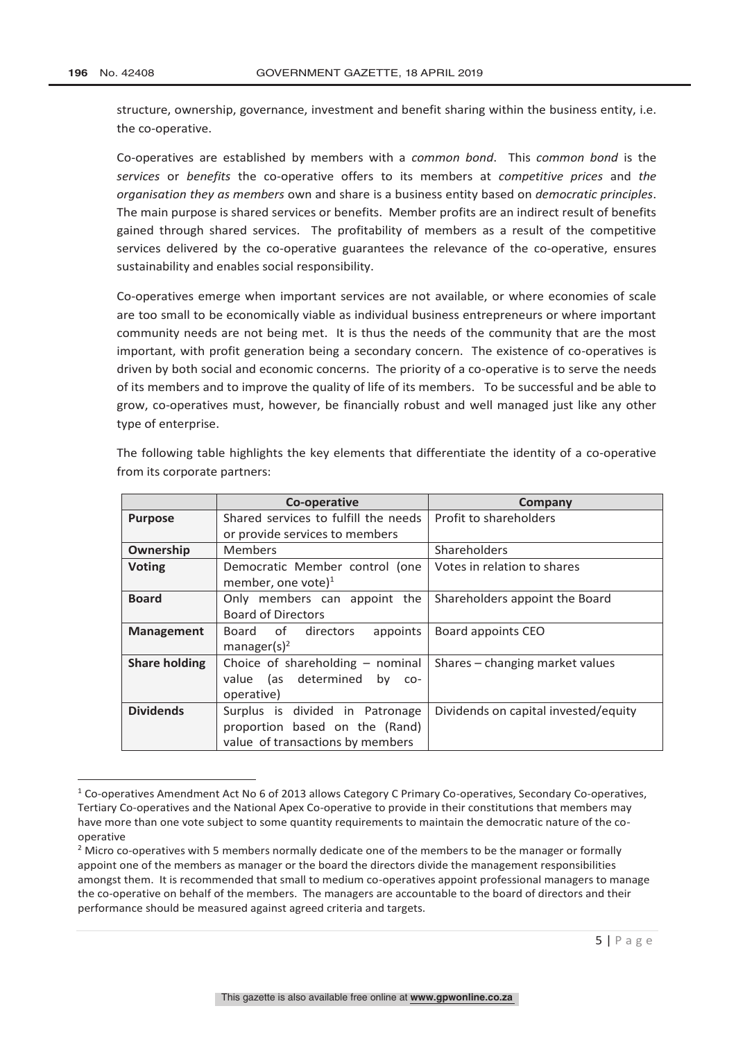structure, ownership, governance, investment and benefit sharing within the business entity, i.e. the co-operative.

Co-operatives are established by members with a *common bond*. This *common bond* is the *services* or *benefits* the co-operative offers to its members at *competitive prices* and *the organisation they as members* own and share is a business entity based on *democratic principles*. The main purpose is shared services or benefits. Member profits are an indirect result of benefits gained through shared services. The profitability of members as a result of the competitive services delivered by the co-operative guarantees the relevance of the co-operative, ensures sustainability and enables social responsibility.

Co-operatives emerge when important services are not available, or where economies of scale are too small to be economically viable as individual business entrepreneurs or where important community needs are not being met. It is thus the needs of the community that are the most important, with profit generation being a secondary concern. The existence of co-operatives is driven by both social and economic concerns. The priority of a co-operative is to serve the needs of its members and to improve the quality of life of its members. To be successful and be able to grow, co-operatives must, however, be financially robust and well managed just like any other type of enterprise.

|                      | Co-operative                           | Company                              |
|----------------------|----------------------------------------|--------------------------------------|
| <b>Purpose</b>       | Shared services to fulfill the needs   | Profit to shareholders               |
|                      | or provide services to members         |                                      |
| Ownership            | <b>Members</b>                         | Shareholders                         |
| <b>Voting</b>        | Democratic Member control (one         | Votes in relation to shares          |
|                      | member, one vote) $1$                  |                                      |
| <b>Board</b>         | Only members can appoint the           | Shareholders appoint the Board       |
|                      | <b>Board of Directors</b>              |                                      |
| <b>Management</b>    | Board of directors<br>appoints         | Board appoints CEO                   |
|                      | manager(s) <sup>2</sup>                |                                      |
| <b>Share holding</b> | Choice of shareholding $-$ nominal     | Shares – changing market values      |
|                      | (as determined<br>value<br>by<br>$CO-$ |                                      |
|                      | operative)                             |                                      |
| <b>Dividends</b>     | Surplus is divided in Patronage        | Dividends on capital invested/equity |
|                      | proportion based on the (Rand)         |                                      |
|                      | value of transactions by members       |                                      |

The following table highlights the key elements that differentiate the identity of a co-operative from its corporate partners:

 $1$  Co-operatives Amendment Act No 6 of 2013 allows Category C Primary Co-operatives, Secondary Co-operatives, Tertiary Co-operatives and the National Apex Co-operative to provide in their constitutions that members may have more than one vote subject to some quantity requirements to maintain the democratic nature of the cooperative

<sup>&</sup>lt;sup>2</sup> Micro co-operatives with 5 members normally dedicate one of the members to be the manager or formally appoint one of the members as manager or the board the directors divide the management responsibilities amongst them. It is recommended that small to medium co-operatives appoint professional managers to manage the co-operative on behalf of the members. The managers are accountable to the board of directors and their performance should be measured against agreed criteria and targets.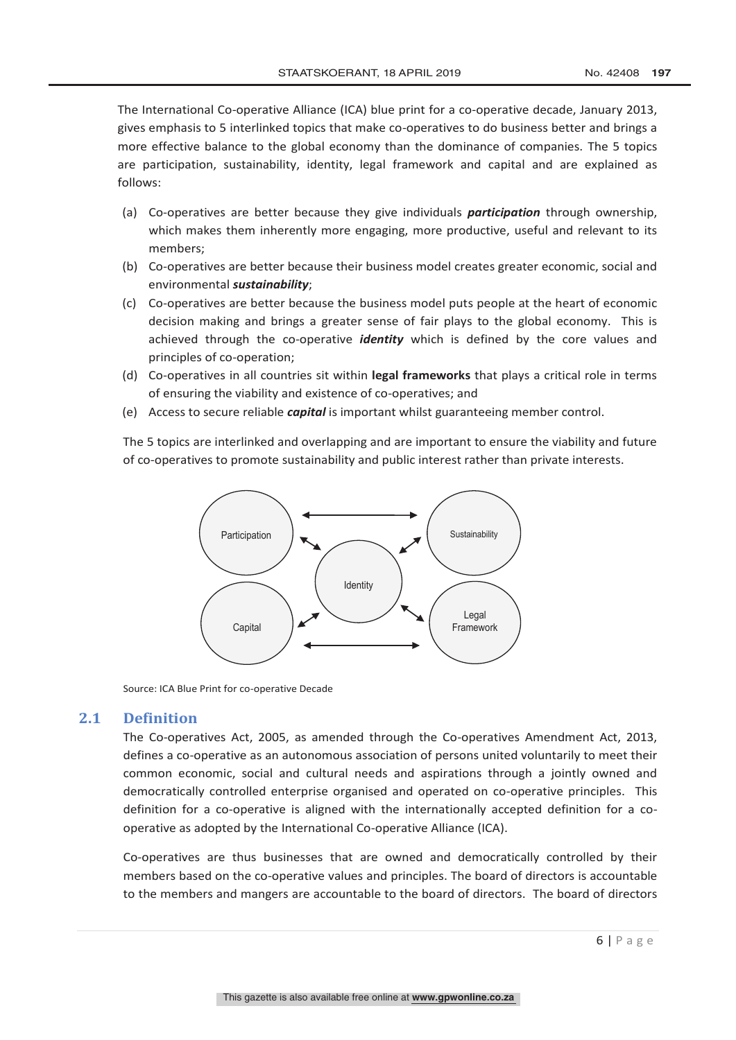The International Co-operative Alliance (ICA) blue print for a co-operative decade, January 2013, gives emphasis to 5 interlinked topics that make co-operatives to do business better and brings a more effective balance to the global economy than the dominance of companies. The 5 topics are participation, sustainability, identity, legal framework and capital and are explained as follows:

- (a) Co-operatives are better because they give individuals *participation* through ownership, which makes them inherently more engaging, more productive, useful and relevant to its members;
- (b) Co-operatives are better because their business model creates greater economic, social and environmental *sustainability*;
- (c) Co-operatives are better because the business model puts people at the heart of economic decision making and brings a greater sense of fair plays to the global economy. This is achieved through the co-operative *identity* which is defined by the core values and principles of co-operation;
- (d) Co-operatives in all countries sit within **legal frameworks** that plays a critical role in terms of ensuring the viability and existence of co-operatives; and
- (e) Access to secure reliable *capital* is important whilst guaranteeing member control.

The 5 topics are interlinked and overlapping and are important to ensure the viability and future of co-operatives to promote sustainability and public interest rather than private interests.



Source: ICA Blue Print for co-operative Decade

#### **2.1 Definition**

The Co-operatives Act, 2005, as amended through the Co-operatives Amendment Act, 2013, defines a co-operative as an autonomous association of persons united voluntarily to meet their common economic, social and cultural needs and aspirations through a jointly owned and democratically controlled enterprise organised and operated on co-operative principles. This definition for a co-operative is aligned with the internationally accepted definition for a cooperative as adopted by the International Co-operative Alliance (ICA).

Co-operatives are thus businesses that are owned and democratically controlled by their members based on the co-operative values and principles. The board of directors is accountable to the members and mangers are accountable to the board of directors. The board of directors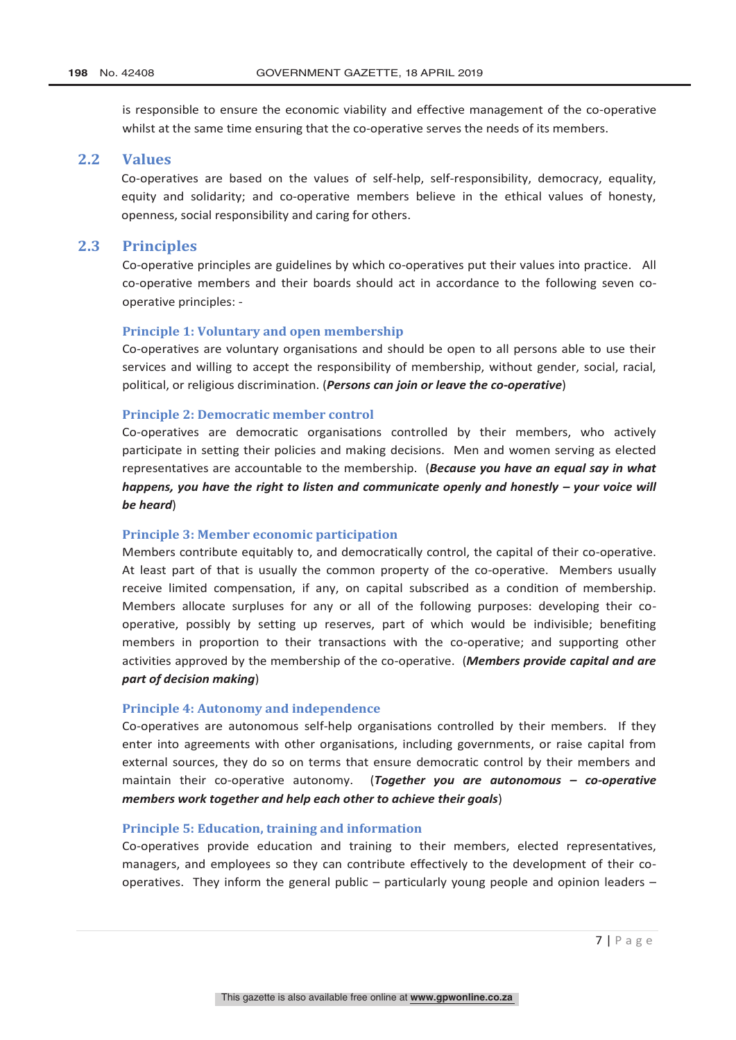is responsible to ensure the economic viability and effective management of the co-operative whilst at the same time ensuring that the co-operative serves the needs of its members.

## **2.2 Values**

Co-operatives are based on the values of self-help, self-responsibility, democracy, equality, equity and solidarity; and co-operative members believe in the ethical values of honesty, openness, social responsibility and caring for others.

#### **2.3 Principles**

Co-operative principles are guidelines by which co-operatives put their values into practice. All co-operative members and their boards should act in accordance to the following seven cooperative principles: -

#### **Principle 1: Voluntary and open membership**

Co-operatives are voluntary organisations and should be open to all persons able to use their services and willing to accept the responsibility of membership, without gender, social, racial, political, or religious discrimination. (*Persons can join or leave the co-operative*)

#### **Principle 2: Democratic member control**

Co-operatives are democratic organisations controlled by their members, who actively participate in setting their policies and making decisions. Men and women serving as elected representatives are accountable to the membership. (*Because you have an equal say in what happens, you have the right to listen and communicate openly and honestly – your voice will be heard*)

#### **Principle 3: Member economic participation**

Members contribute equitably to, and democratically control, the capital of their co-operative. At least part of that is usually the common property of the co-operative. Members usually receive limited compensation, if any, on capital subscribed as a condition of membership. Members allocate surpluses for any or all of the following purposes: developing their cooperative, possibly by setting up reserves, part of which would be indivisible; benefiting members in proportion to their transactions with the co-operative; and supporting other activities approved by the membership of the co-operative. (*Members provide capital and are part of decision making*)

#### **Principle 4: Autonomy and independence**

Co-operatives are autonomous self-help organisations controlled by their members. If they enter into agreements with other organisations, including governments, or raise capital from external sources, they do so on terms that ensure democratic control by their members and maintain their co-operative autonomy. (*Together you are autonomous – co-operative members work together and help each other to achieve their goals*)

#### **Principle 5: Education, training and information**

Co-operatives provide education and training to their members, elected representatives, managers, and employees so they can contribute effectively to the development of their cooperatives. They inform the general public – particularly young people and opinion leaders –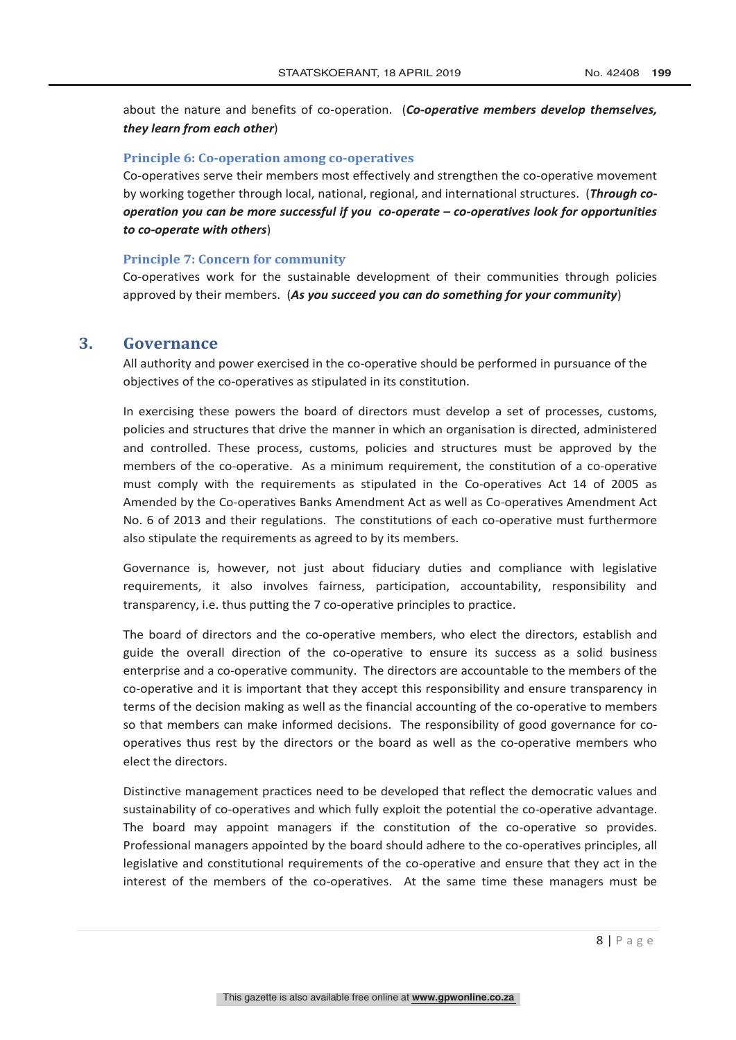about the nature and benefits of co-operation. (*Co-operative members develop themselves, they learn from each other*)

#### **Principle 6: Co-operation among co-operatives**

Co-operatives serve their members most effectively and strengthen the co-operative movement by working together through local, national, regional, and international structures. (*Through cooperation you can be more successful if you co-operate – co-operatives look for opportunities to co-operate with others*)

#### **Principle 7: Concern for community**

Co-operatives work for the sustainable development of their communities through policies approved by their members. (*As you succeed you can do something for your community*)

## **3. Governance**

All authority and power exercised in the co-operative should be performed in pursuance of the objectives of the co-operatives as stipulated in its constitution.

In exercising these powers the board of directors must develop a set of processes, customs, policies and structures that drive the manner in which an organisation is directed, administered and controlled. These process, customs, policies and structures must be approved by the members of the co-operative. As a minimum requirement, the constitution of a co-operative must comply with the requirements as stipulated in the Co-operatives Act 14 of 2005 as Amended by the Co-operatives Banks Amendment Act as well as Co-operatives Amendment Act No. 6 of 2013 and their regulations. The constitutions of each co-operative must furthermore also stipulate the requirements as agreed to by its members.

Governance is, however, not just about fiduciary duties and compliance with legislative requirements, it also involves fairness, participation, accountability, responsibility and transparency, i.e. thus putting the 7 co-operative principles to practice.

The board of directors and the co-operative members, who elect the directors, establish and guide the overall direction of the co-operative to ensure its success as a solid business enterprise and a co-operative community. The directors are accountable to the members of the co-operative and it is important that they accept this responsibility and ensure transparency in terms of the decision making as well as the financial accounting of the co-operative to members so that members can make informed decisions. The responsibility of good governance for cooperatives thus rest by the directors or the board as well as the co-operative members who elect the directors.

Distinctive management practices need to be developed that reflect the democratic values and sustainability of co-operatives and which fully exploit the potential the co-operative advantage. The board may appoint managers if the constitution of the co-operative so provides. Professional managers appointed by the board should adhere to the co-operatives principles, all legislative and constitutional requirements of the co-operative and ensure that they act in the interest of the members of the co-operatives. At the same time these managers must be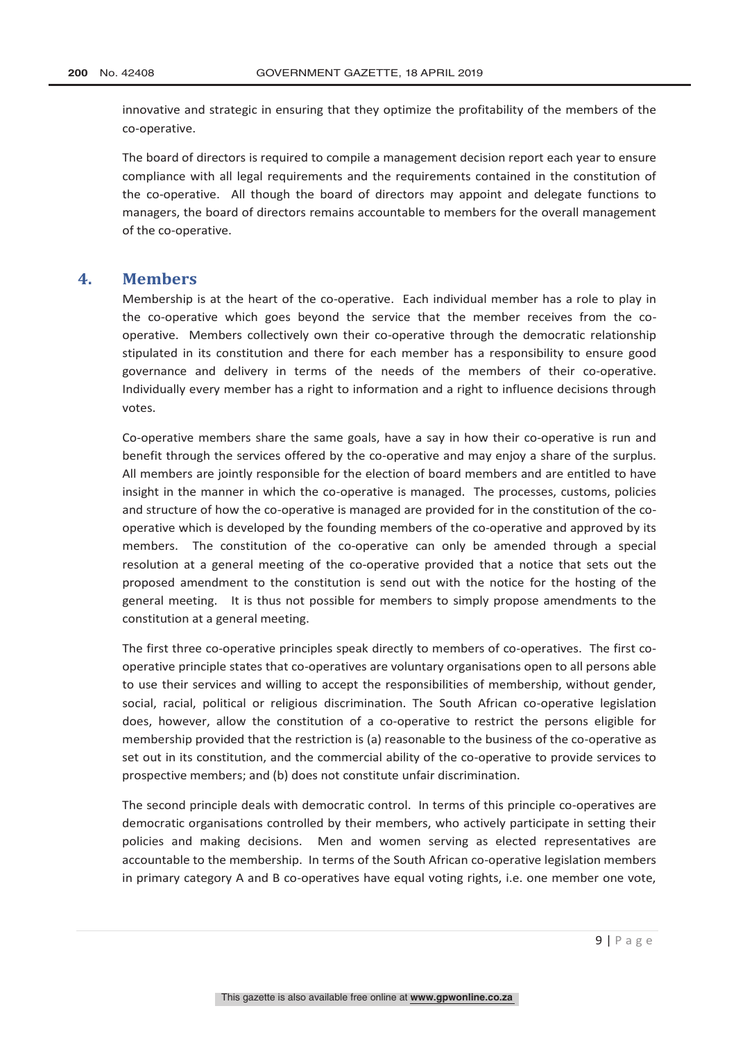innovative and strategic in ensuring that they optimize the profitability of the members of the co-operative.

The board of directors is required to compile a management decision report each year to ensure compliance with all legal requirements and the requirements contained in the constitution of the co-operative. All though the board of directors may appoint and delegate functions to managers, the board of directors remains accountable to members for the overall management of the co-operative.

#### **4. Members**

Membership is at the heart of the co-operative. Each individual member has a role to play in the co-operative which goes beyond the service that the member receives from the cooperative. Members collectively own their co-operative through the democratic relationship stipulated in its constitution and there for each member has a responsibility to ensure good governance and delivery in terms of the needs of the members of their co-operative. Individually every member has a right to information and a right to influence decisions through votes.

Co-operative members share the same goals, have a say in how their co-operative is run and benefit through the services offered by the co-operative and may enjoy a share of the surplus. All members are jointly responsible for the election of board members and are entitled to have insight in the manner in which the co-operative is managed. The processes, customs, policies and structure of how the co-operative is managed are provided for in the constitution of the cooperative which is developed by the founding members of the co-operative and approved by its members. The constitution of the co-operative can only be amended through a special resolution at a general meeting of the co-operative provided that a notice that sets out the proposed amendment to the constitution is send out with the notice for the hosting of the general meeting. It is thus not possible for members to simply propose amendments to the constitution at a general meeting.

The first three co-operative principles speak directly to members of co-operatives. The first cooperative principle states that co-operatives are voluntary organisations open to all persons able to use their services and willing to accept the responsibilities of membership, without gender, social, racial, political or religious discrimination. The South African co-operative legislation does, however, allow the constitution of a co-operative to restrict the persons eligible for membership provided that the restriction is (a) reasonable to the business of the co-operative as set out in its constitution, and the commercial ability of the co-operative to provide services to prospective members; and (b) does not constitute unfair discrimination.

The second principle deals with democratic control. In terms of this principle co-operatives are democratic organisations controlled by their members, who actively participate in setting their policies and making decisions. Men and women serving as elected representatives are accountable to the membership. In terms of the South African co-operative legislation members in primary category A and B co-operatives have equal voting rights, i.e. one member one vote,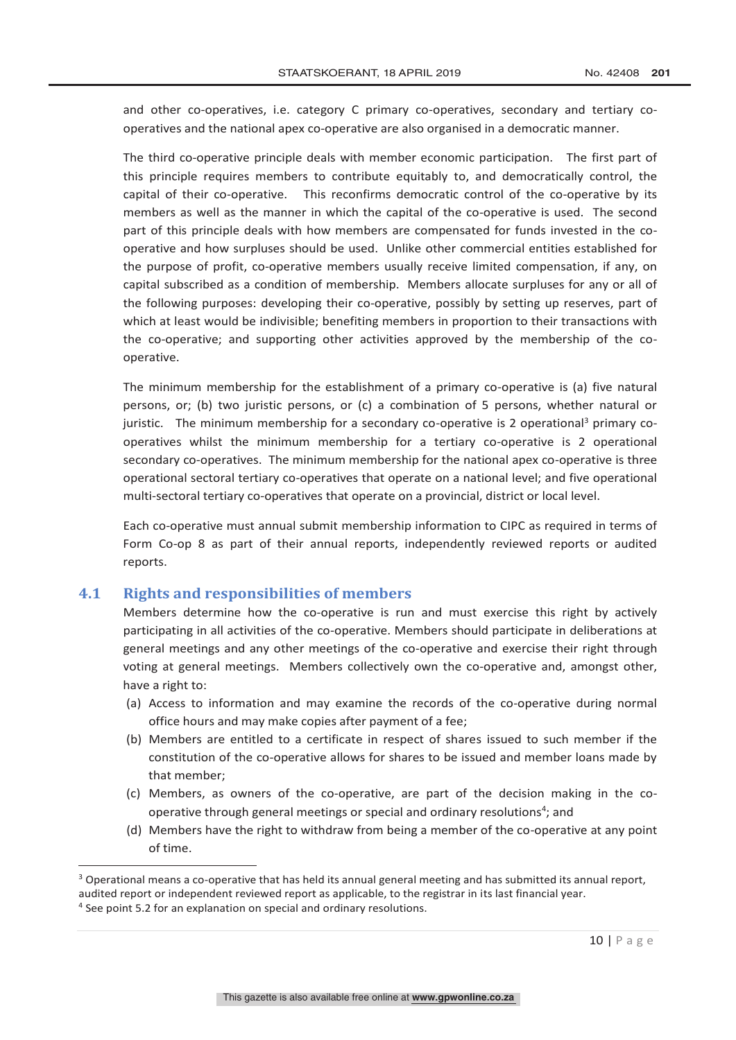and other co-operatives, i.e. category C primary co-operatives, secondary and tertiary cooperatives and the national apex co-operative are also organised in a democratic manner.

The third co-operative principle deals with member economic participation. The first part of this principle requires members to contribute equitably to, and democratically control, the capital of their co-operative. This reconfirms democratic control of the co-operative by its members as well as the manner in which the capital of the co-operative is used. The second part of this principle deals with how members are compensated for funds invested in the cooperative and how surpluses should be used. Unlike other commercial entities established for the purpose of profit, co-operative members usually receive limited compensation, if any, on capital subscribed as a condition of membership. Members allocate surpluses for any or all of the following purposes: developing their co-operative, possibly by setting up reserves, part of which at least would be indivisible; benefiting members in proportion to their transactions with the co-operative; and supporting other activities approved by the membership of the cooperative.

The minimum membership for the establishment of a primary co-operative is (a) five natural persons, or; (b) two juristic persons, or (c) a combination of 5 persons, whether natural or juristic. The minimum membership for a secondary co-operative is 2 operational<sup>3</sup> primary cooperatives whilst the minimum membership for a tertiary co-operative is 2 operational secondary co-operatives. The minimum membership for the national apex co-operative is three operational sectoral tertiary co-operatives that operate on a national level; and five operational multi-sectoral tertiary co-operatives that operate on a provincial, district or local level.

Each co-operative must annual submit membership information to CIPC as required in terms of Form Co-op 8 as part of their annual reports, independently reviewed reports or audited reports.

#### **4.1 Rights and responsibilities of members**

Members determine how the co-operative is run and must exercise this right by actively participating in all activities of the co-operative. Members should participate in deliberations at general meetings and any other meetings of the co-operative and exercise their right through voting at general meetings. Members collectively own the co-operative and, amongst other, have a right to:

- (a) Access to information and may examine the records of the co-operative during normal office hours and may make copies after payment of a fee;
- (b) Members are entitled to a certificate in respect of shares issued to such member if the constitution of the co-operative allows for shares to be issued and member loans made by that member;
- (c) Members, as owners of the co-operative, are part of the decision making in the cooperative through general meetings or special and ordinary resolutions<sup>4</sup>; and
- (d) Members have the right to withdraw from being a member of the co-operative at any point of time.

<sup>&</sup>lt;sup>3</sup> Operational means a co-operative that has held its annual general meeting and has submitted its annual report, audited report or independent reviewed report as applicable, to the registrar in its last financial year.<br><sup>4</sup> See point 5.2 for an explanation on special and ordinary resolutions.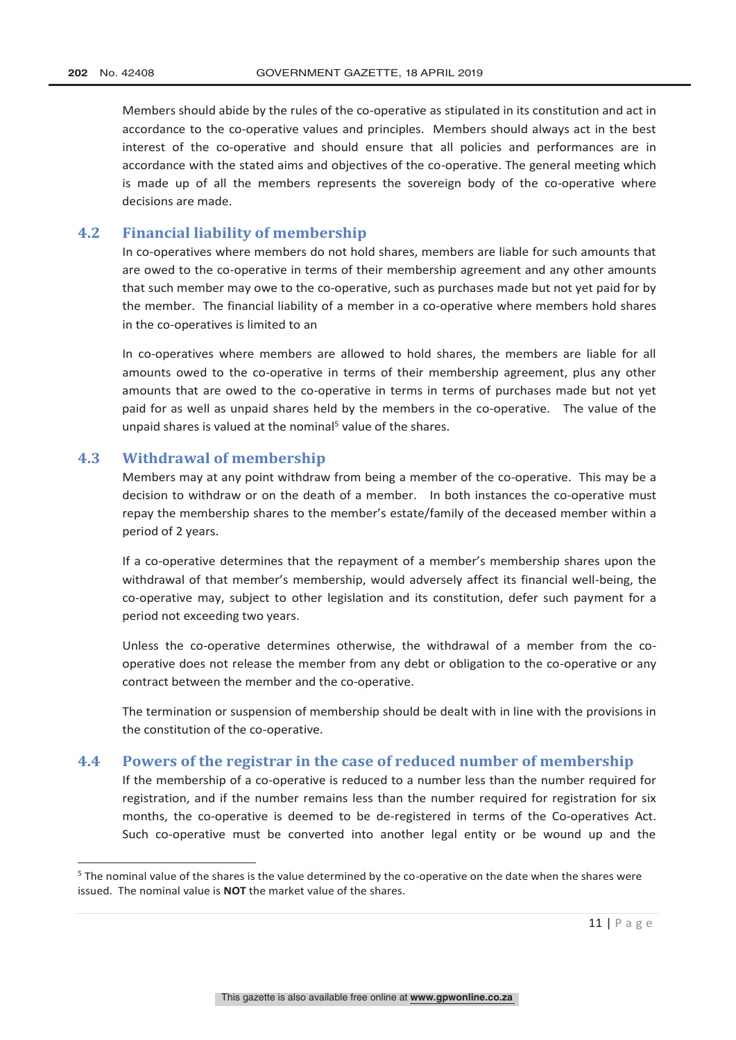Members should abide by the rules of the co-operative as stipulated in its constitution and act in accordance to the co-operative values and principles. Members should always act in the best interest of the co-operative and should ensure that all policies and performances are in accordance with the stated aims and objectives of the co-operative. The general meeting which is made up of all the members represents the sovereign body of the co-operative where decisions are made.

#### **4.2 Financial liability of membership**

In co-operatives where members do not hold shares, members are liable for such amounts that are owed to the co-operative in terms of their membership agreement and any other amounts that such member may owe to the co-operative, such as purchases made but not yet paid for by the member. The financial liability of a member in a co-operative where members hold shares in the co-operatives is limited to an

In co-operatives where members are allowed to hold shares, the members are liable for all amounts owed to the co-operative in terms of their membership agreement, plus any other amounts that are owed to the co-operative in terms in terms of purchases made but not yet paid for as well as unpaid shares held by the members in the co-operative. The value of the unpaid shares is valued at the nominal<sup>5</sup> value of the shares.

#### **4.3 Withdrawal of membership**

Members may at any point withdraw from being a member of the co-operative. This may be a decision to withdraw or on the death of a member. In both instances the co-operative must repay the membership shares to the member's estate/family of the deceased member within a period of 2 years.

If a co-operative determines that the repayment of a member's membership shares upon the withdrawal of that member's membership, would adversely affect its financial well-being, the co-operative may, subject to other legislation and its constitution, defer such payment for a period not exceeding two years.

Unless the co-operative determines otherwise, the withdrawal of a member from the cooperative does not release the member from any debt or obligation to the co-operative or any contract between the member and the co-operative.

The termination or suspension of membership should be dealt with in line with the provisions in the constitution of the co-operative.

#### **4.4 Powers of the registrar in the case of reduced number of membership**

If the membership of a co-operative is reduced to a number less than the number required for registration, and if the number remains less than the number required for registration for six months, the co-operative is deemed to be de-registered in terms of the Co-operatives Act. Such co-operative must be converted into another legal entity or be wound up and the

 <sup>5</sup> The nominal value of the shares is the value determined by the co-operative on the date when the shares were issued. The nominal value is **NOT** the market value of the shares.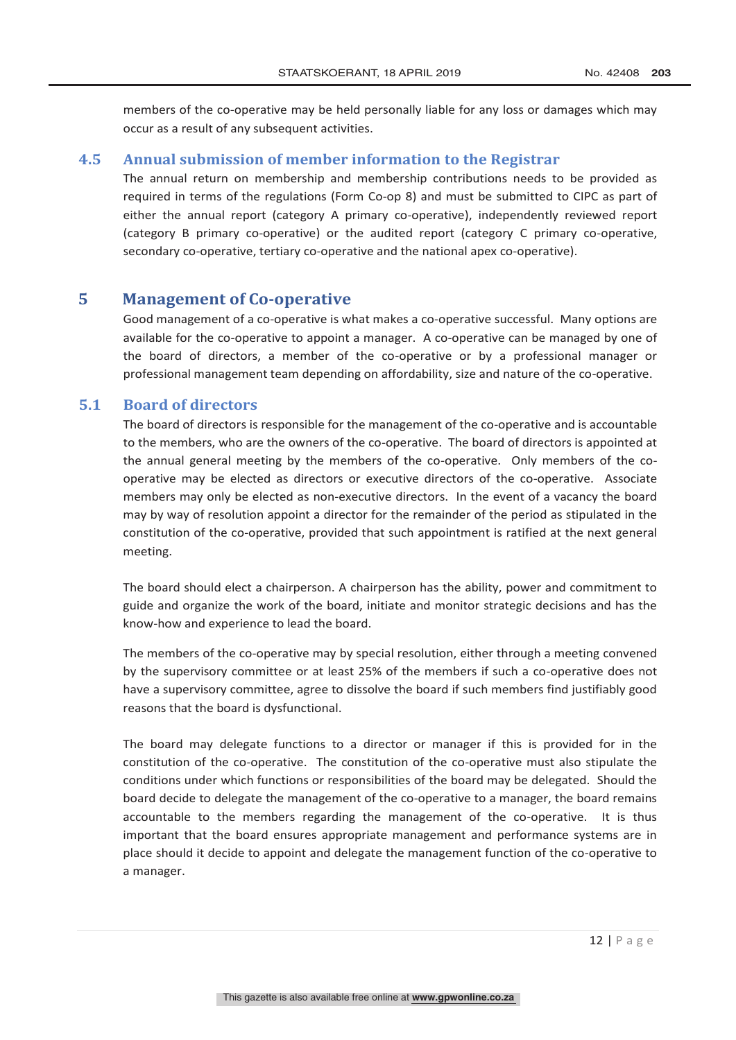members of the co-operative may be held personally liable for any loss or damages which may occur as a result of any subsequent activities.

## **4.5 Annual submission of member information to the Registrar**

The annual return on membership and membership contributions needs to be provided as required in terms of the regulations (Form Co-op 8) and must be submitted to CIPC as part of either the annual report (category A primary co-operative), independently reviewed report (category B primary co-operative) or the audited report (category C primary co-operative, secondary co-operative, tertiary co-operative and the national apex co-operative).

## **5 Management of Co-operative**

Good management of a co-operative is what makes a co-operative successful. Many options are available for the co-operative to appoint a manager. A co-operative can be managed by one of the board of directors, a member of the co-operative or by a professional manager or professional management team depending on affordability, size and nature of the co-operative.

#### **5.1 Board of directors**

The board of directors is responsible for the management of the co-operative and is accountable to the members, who are the owners of the co-operative. The board of directors is appointed at the annual general meeting by the members of the co-operative. Only members of the cooperative may be elected as directors or executive directors of the co-operative. Associate members may only be elected as non-executive directors. In the event of a vacancy the board may by way of resolution appoint a director for the remainder of the period as stipulated in the constitution of the co-operative, provided that such appointment is ratified at the next general meeting.

The board should elect a chairperson. A chairperson has the ability, power and commitment to guide and organize the work of the board, initiate and monitor strategic decisions and has the know-how and experience to lead the board.

The members of the co-operative may by special resolution, either through a meeting convened by the supervisory committee or at least 25% of the members if such a co-operative does not have a supervisory committee, agree to dissolve the board if such members find justifiably good reasons that the board is dysfunctional.

The board may delegate functions to a director or manager if this is provided for in the constitution of the co-operative. The constitution of the co-operative must also stipulate the conditions under which functions or responsibilities of the board may be delegated. Should the board decide to delegate the management of the co-operative to a manager, the board remains accountable to the members regarding the management of the co-operative. It is thus important that the board ensures appropriate management and performance systems are in place should it decide to appoint and delegate the management function of the co-operative to a manager.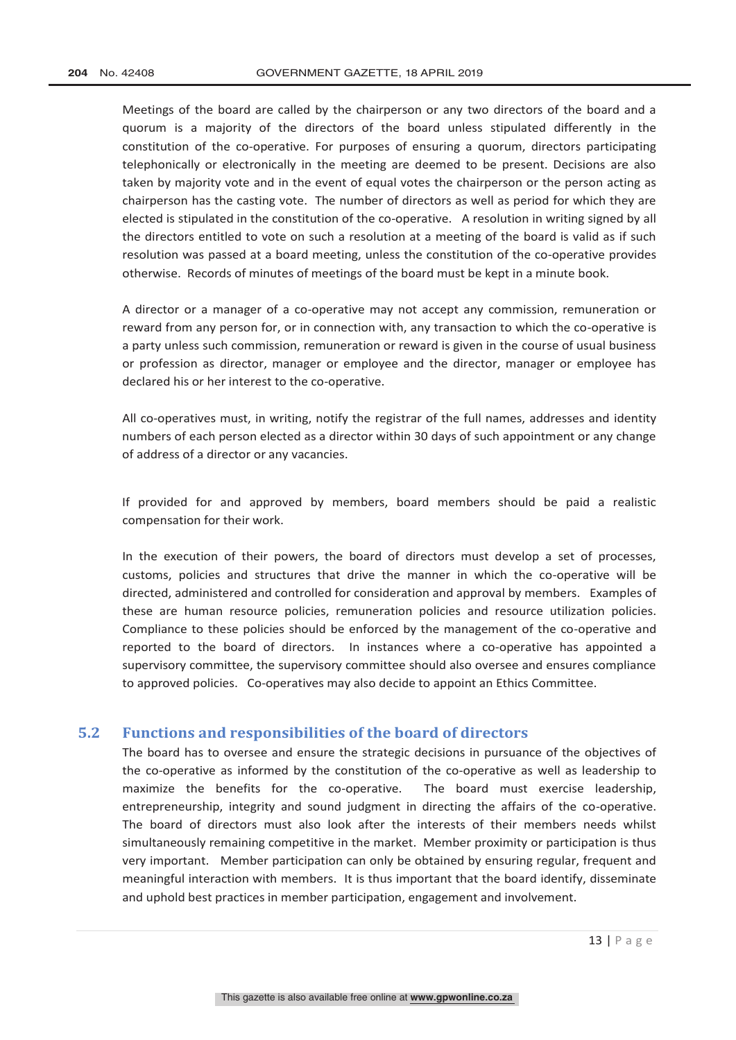Meetings of the board are called by the chairperson or any two directors of the board and a quorum is a majority of the directors of the board unless stipulated differently in the constitution of the co-operative. For purposes of ensuring a quorum, directors participating telephonically or electronically in the meeting are deemed to be present. Decisions are also taken by majority vote and in the event of equal votes the chairperson or the person acting as chairperson has the casting vote. The number of directors as well as period for which they are elected is stipulated in the constitution of the co-operative. A resolution in writing signed by all the directors entitled to vote on such a resolution at a meeting of the board is valid as if such resolution was passed at a board meeting, unless the constitution of the co-operative provides otherwise. Records of minutes of meetings of the board must be kept in a minute book.

A director or a manager of a co-operative may not accept any commission, remuneration or reward from any person for, or in connection with, any transaction to which the co-operative is a party unless such commission, remuneration or reward is given in the course of usual business or profession as director, manager or employee and the director, manager or employee has declared his or her interest to the co-operative.

All co-operatives must, in writing, notify the registrar of the full names, addresses and identity numbers of each person elected as a director within 30 days of such appointment or any change of address of a director or any vacancies.

If provided for and approved by members, board members should be paid a realistic compensation for their work.

In the execution of their powers, the board of directors must develop a set of processes, customs, policies and structures that drive the manner in which the co-operative will be directed, administered and controlled for consideration and approval by members. Examples of these are human resource policies, remuneration policies and resource utilization policies. Compliance to these policies should be enforced by the management of the co-operative and reported to the board of directors. In instances where a co-operative has appointed a supervisory committee, the supervisory committee should also oversee and ensures compliance to approved policies. Co-operatives may also decide to appoint an Ethics Committee.

#### **5.2 Functions and responsibilities of the board of directors**

The board has to oversee and ensure the strategic decisions in pursuance of the objectives of the co-operative as informed by the constitution of the co-operative as well as leadership to maximize the benefits for the co-operative. The board must exercise leadership, entrepreneurship, integrity and sound judgment in directing the affairs of the co-operative. The board of directors must also look after the interests of their members needs whilst simultaneously remaining competitive in the market. Member proximity or participation is thus very important. Member participation can only be obtained by ensuring regular, frequent and meaningful interaction with members. It is thus important that the board identify, disseminate and uphold best practices in member participation, engagement and involvement.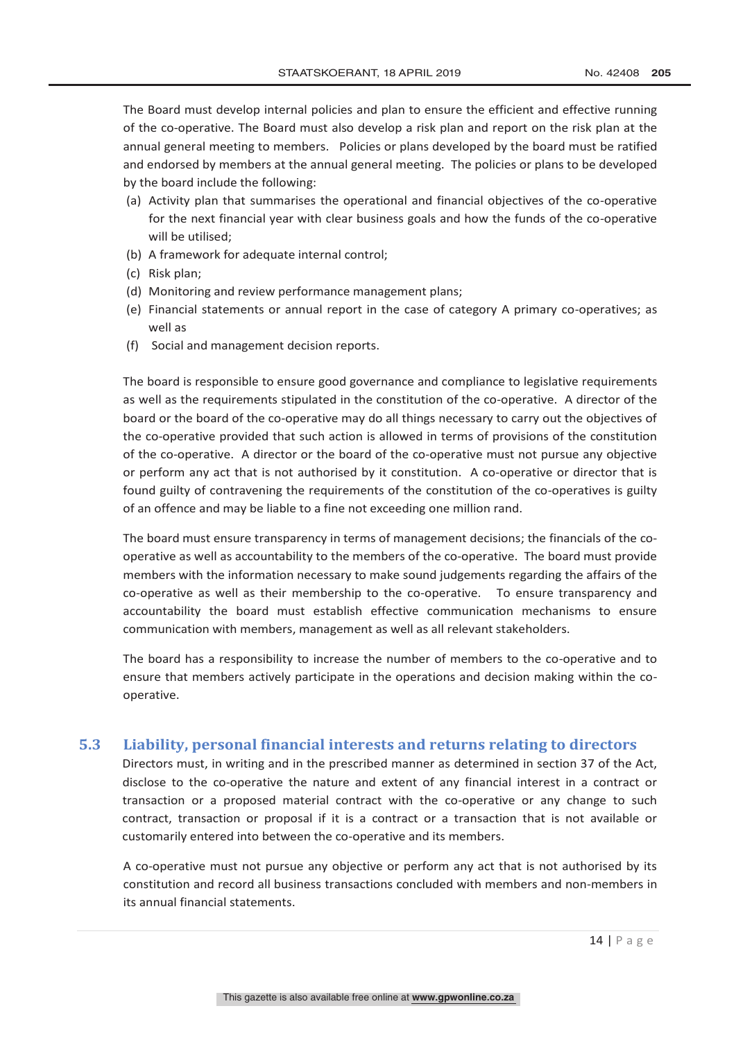The Board must develop internal policies and plan to ensure the efficient and effective running of the co-operative. The Board must also develop a risk plan and report on the risk plan at the annual general meeting to members. Policies or plans developed by the board must be ratified and endorsed by members at the annual general meeting. The policies or plans to be developed by the board include the following:

- (a) Activity plan that summarises the operational and financial objectives of the co-operative for the next financial year with clear business goals and how the funds of the co-operative will be utilised;
- (b) A framework for adequate internal control;
- (c) Risk plan;
- (d) Monitoring and review performance management plans;
- (e) Financial statements or annual report in the case of category A primary co-operatives; as well as
- (f) Social and management decision reports.

The board is responsible to ensure good governance and compliance to legislative requirements as well as the requirements stipulated in the constitution of the co-operative. A director of the board or the board of the co-operative may do all things necessary to carry out the objectives of the co-operative provided that such action is allowed in terms of provisions of the constitution of the co-operative. A director or the board of the co-operative must not pursue any objective or perform any act that is not authorised by it constitution. A co-operative or director that is found guilty of contravening the requirements of the constitution of the co-operatives is guilty of an offence and may be liable to a fine not exceeding one million rand.

The board must ensure transparency in terms of management decisions; the financials of the cooperative as well as accountability to the members of the co-operative. The board must provide members with the information necessary to make sound judgements regarding the affairs of the co-operative as well as their membership to the co-operative. To ensure transparency and accountability the board must establish effective communication mechanisms to ensure communication with members, management as well as all relevant stakeholders.

The board has a responsibility to increase the number of members to the co-operative and to ensure that members actively participate in the operations and decision making within the cooperative.

#### **5.3 Liability, personal financial interests and returns relating to directors**

Directors must, in writing and in the prescribed manner as determined in section 37 of the Act, disclose to the co-operative the nature and extent of any financial interest in a contract or transaction or a proposed material contract with the co-operative or any change to such contract, transaction or proposal if it is a contract or a transaction that is not available or customarily entered into between the co-operative and its members.

A co-operative must not pursue any objective or perform any act that is not authorised by its constitution and record all business transactions concluded with members and non-members in its annual financial statements.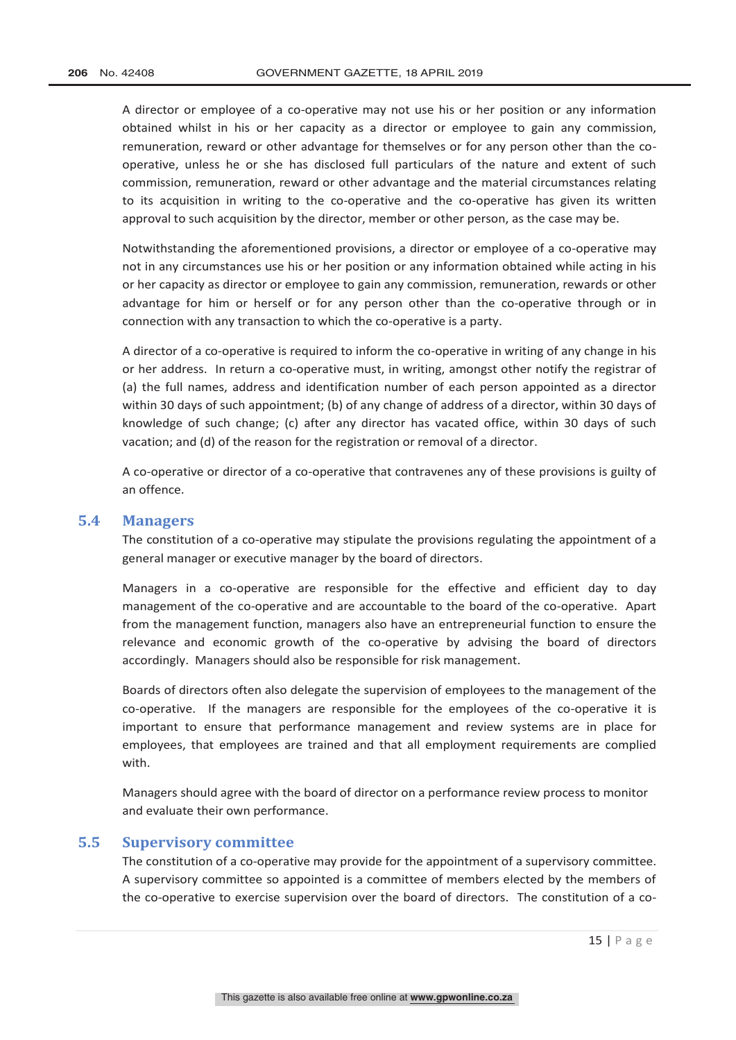A director or employee of a co-operative may not use his or her position or any information obtained whilst in his or her capacity as a director or employee to gain any commission, remuneration, reward or other advantage for themselves or for any person other than the cooperative, unless he or she has disclosed full particulars of the nature and extent of such commission, remuneration, reward or other advantage and the material circumstances relating to its acquisition in writing to the co-operative and the co-operative has given its written approval to such acquisition by the director, member or other person, as the case may be.

Notwithstanding the aforementioned provisions, a director or employee of a co-operative may not in any circumstances use his or her position or any information obtained while acting in his or her capacity as director or employee to gain any commission, remuneration, rewards or other advantage for him or herself or for any person other than the co-operative through or in connection with any transaction to which the co-operative is a party.

A director of a co-operative is required to inform the co-operative in writing of any change in his or her address. In return a co-operative must, in writing, amongst other notify the registrar of (a) the full names, address and identification number of each person appointed as a director within 30 days of such appointment; (b) of any change of address of a director, within 30 days of knowledge of such change; (c) after any director has vacated office, within 30 days of such vacation; and (d) of the reason for the registration or removal of a director.

A co-operative or director of a co-operative that contravenes any of these provisions is guilty of an offence.

#### **5.4 Managers**

The constitution of a co-operative may stipulate the provisions regulating the appointment of a general manager or executive manager by the board of directors.

Managers in a co-operative are responsible for the effective and efficient day to day management of the co-operative and are accountable to the board of the co-operative. Apart from the management function, managers also have an entrepreneurial function to ensure the relevance and economic growth of the co-operative by advising the board of directors accordingly. Managers should also be responsible for risk management.

Boards of directors often also delegate the supervision of employees to the management of the co-operative. If the managers are responsible for the employees of the co-operative it is important to ensure that performance management and review systems are in place for employees, that employees are trained and that all employment requirements are complied with.

Managers should agree with the board of director on a performance review process to monitor and evaluate their own performance.

#### **5.5 Supervisory committee**

The constitution of a co-operative may provide for the appointment of a supervisory committee. A supervisory committee so appointed is a committee of members elected by the members of the co-operative to exercise supervision over the board of directors. The constitution of a co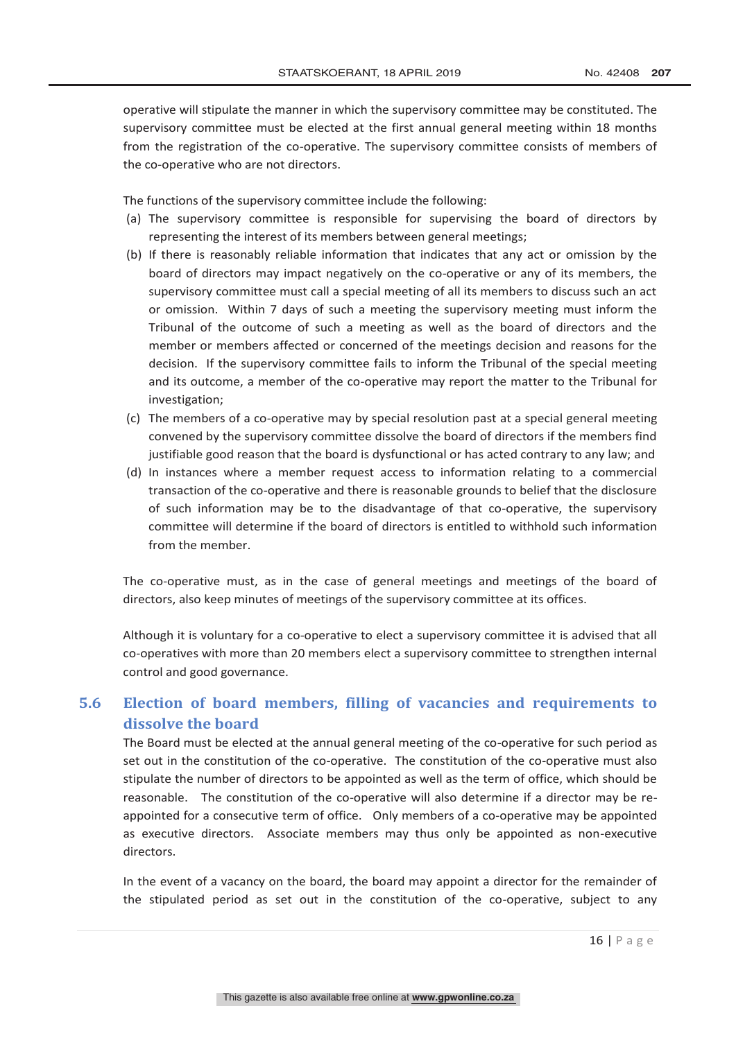operative will stipulate the manner in which the supervisory committee may be constituted. The supervisory committee must be elected at the first annual general meeting within 18 months from the registration of the co-operative. The supervisory committee consists of members of the co-operative who are not directors.

The functions of the supervisory committee include the following:

- (a) The supervisory committee is responsible for supervising the board of directors by representing the interest of its members between general meetings;
- (b) If there is reasonably reliable information that indicates that any act or omission by the board of directors may impact negatively on the co-operative or any of its members, the supervisory committee must call a special meeting of all its members to discuss such an act or omission. Within 7 days of such a meeting the supervisory meeting must inform the Tribunal of the outcome of such a meeting as well as the board of directors and the member or members affected or concerned of the meetings decision and reasons for the decision. If the supervisory committee fails to inform the Tribunal of the special meeting and its outcome, a member of the co-operative may report the matter to the Tribunal for investigation;
- (c) The members of a co-operative may by special resolution past at a special general meeting convened by the supervisory committee dissolve the board of directors if the members find justifiable good reason that the board is dysfunctional or has acted contrary to any law; and
- (d) In instances where a member request access to information relating to a commercial transaction of the co-operative and there is reasonable grounds to belief that the disclosure of such information may be to the disadvantage of that co-operative, the supervisory committee will determine if the board of directors is entitled to withhold such information from the member.

The co-operative must, as in the case of general meetings and meetings of the board of directors, also keep minutes of meetings of the supervisory committee at its offices.

Although it is voluntary for a co-operative to elect a supervisory committee it is advised that all co-operatives with more than 20 members elect a supervisory committee to strengthen internal control and good governance.

# **5.6 Election of board members, filling of vacancies and requirements to dissolve the board**

The Board must be elected at the annual general meeting of the co-operative for such period as set out in the constitution of the co-operative. The constitution of the co-operative must also stipulate the number of directors to be appointed as well as the term of office, which should be reasonable. The constitution of the co-operative will also determine if a director may be reappointed for a consecutive term of office. Only members of a co-operative may be appointed as executive directors. Associate members may thus only be appointed as non-executive directors.

In the event of a vacancy on the board, the board may appoint a director for the remainder of the stipulated period as set out in the constitution of the co-operative, subject to any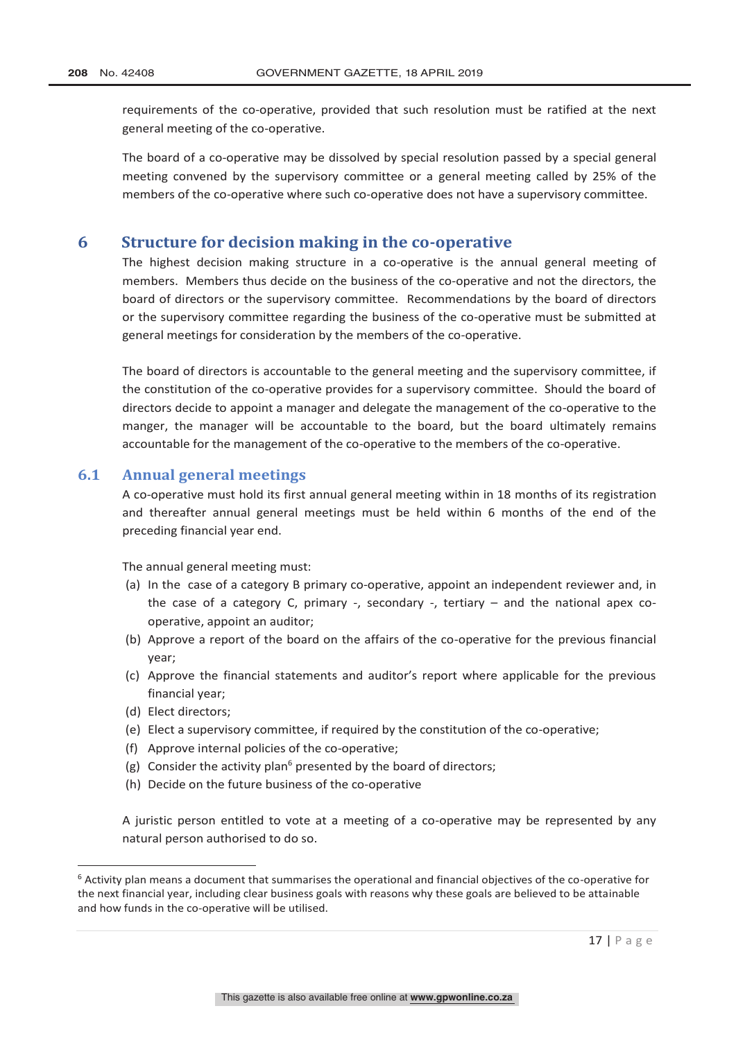requirements of the co-operative, provided that such resolution must be ratified at the next general meeting of the co-operative.

The board of a co-operative may be dissolved by special resolution passed by a special general meeting convened by the supervisory committee or a general meeting called by 25% of the members of the co-operative where such co-operative does not have a supervisory committee.

## **6 Structure for decision making in the co-operative**

The highest decision making structure in a co-operative is the annual general meeting of members. Members thus decide on the business of the co-operative and not the directors, the board of directors or the supervisory committee. Recommendations by the board of directors or the supervisory committee regarding the business of the co-operative must be submitted at general meetings for consideration by the members of the co-operative.

The board of directors is accountable to the general meeting and the supervisory committee, if the constitution of the co-operative provides for a supervisory committee. Should the board of directors decide to appoint a manager and delegate the management of the co-operative to the manger, the manager will be accountable to the board, but the board ultimately remains accountable for the management of the co-operative to the members of the co-operative.

#### **6.1 Annual general meetings**

A co-operative must hold its first annual general meeting within in 18 months of its registration and thereafter annual general meetings must be held within 6 months of the end of the preceding financial year end.

The annual general meeting must:

- (a) In the case of a category B primary co-operative, appoint an independent reviewer and, in the case of a category C, primary -, secondary -, tertiary – and the national apex cooperative, appoint an auditor;
- (b) Approve a report of the board on the affairs of the co-operative for the previous financial year;
- (c) Approve the financial statements and auditor's report where applicable for the previous financial year;
- (d) Elect directors;
- (e) Elect a supervisory committee, if required by the constitution of the co-operative;
- (f) Approve internal policies of the co-operative;
- (g) Consider the activity plan<sup>6</sup> presented by the board of directors;
- (h) Decide on the future business of the co-operative

A juristic person entitled to vote at a meeting of a co-operative may be represented by any natural person authorised to do so.

 <sup>6</sup> Activity plan means a document that summarises the operational and financial objectives of the co-operative for the next financial year, including clear business goals with reasons why these goals are believed to be attainable and how funds in the co-operative will be utilised.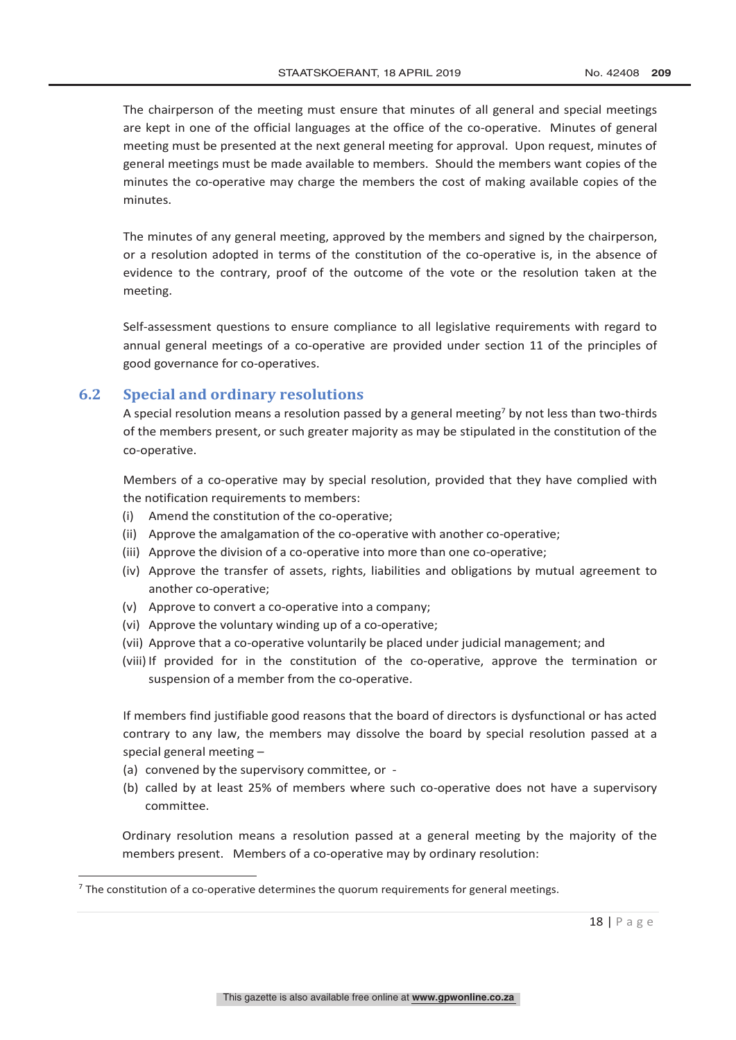The chairperson of the meeting must ensure that minutes of all general and special meetings are kept in one of the official languages at the office of the co-operative. Minutes of general meeting must be presented at the next general meeting for approval. Upon request, minutes of general meetings must be made available to members. Should the members want copies of the minutes the co-operative may charge the members the cost of making available copies of the minutes.

The minutes of any general meeting, approved by the members and signed by the chairperson, or a resolution adopted in terms of the constitution of the co-operative is, in the absence of evidence to the contrary, proof of the outcome of the vote or the resolution taken at the meeting.

Self-assessment questions to ensure compliance to all legislative requirements with regard to annual general meetings of a co-operative are provided under section 11 of the principles of good governance for co-operatives.

#### **6.2 Special and ordinary resolutions**

A special resolution means a resolution passed by a general meeting<sup>7</sup> by not less than two-thirds of the members present, or such greater majority as may be stipulated in the constitution of the co-operative.

Members of a co-operative may by special resolution, provided that they have complied with the notification requirements to members:

- (i) Amend the constitution of the co-operative;
- (ii) Approve the amalgamation of the co-operative with another co-operative;
- (iii) Approve the division of a co-operative into more than one co-operative;
- (iv) Approve the transfer of assets, rights, liabilities and obligations by mutual agreement to another co-operative;
- (v) Approve to convert a co-operative into a company;
- (vi) Approve the voluntary winding up of a co-operative;
- (vii) Approve that a co-operative voluntarily be placed under judicial management; and
- (viii) If provided for in the constitution of the co-operative, approve the termination or suspension of a member from the co-operative.

If members find justifiable good reasons that the board of directors is dysfunctional or has acted contrary to any law, the members may dissolve the board by special resolution passed at a special general meeting –

- (a) convened by the supervisory committee, or -
- (b) called by at least 25% of members where such co-operative does not have a supervisory committee.

Ordinary resolution means a resolution passed at a general meeting by the majority of the members present. Members of a co-operative may by ordinary resolution:

 $7$  The constitution of a co-operative determines the quorum requirements for general meetings.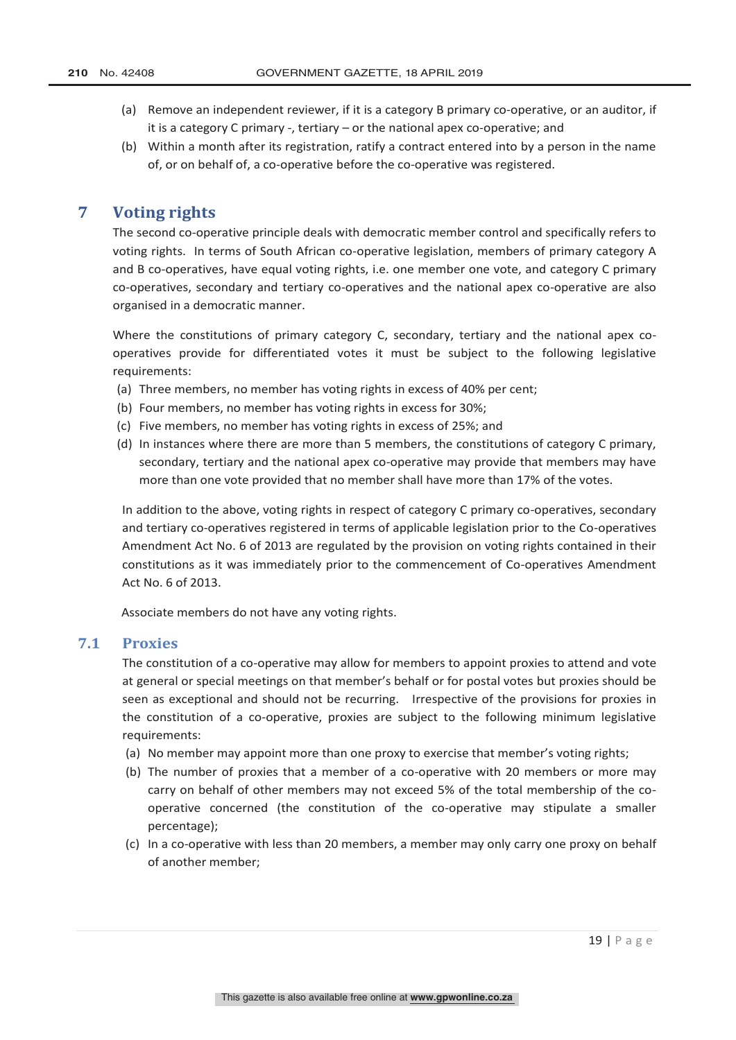- (a) Remove an independent reviewer, if it is a category B primary co-operative, or an auditor, if it is a category C primary -, tertiary – or the national apex co-operative; and
- (b) Within a month after its registration, ratify a contract entered into by a person in the name of, or on behalf of, a co-operative before the co-operative was registered.

# **7 Voting rights**

The second co-operative principle deals with democratic member control and specifically refers to voting rights. In terms of South African co-operative legislation, members of primary category A and B co-operatives, have equal voting rights, i.e. one member one vote, and category C primary co-operatives, secondary and tertiary co-operatives and the national apex co-operative are also organised in a democratic manner.

Where the constitutions of primary category C, secondary, tertiary and the national apex cooperatives provide for differentiated votes it must be subject to the following legislative requirements:

- (a) Three members, no member has voting rights in excess of 40% per cent;
- (b) Four members, no member has voting rights in excess for 30%;
- (c) Five members, no member has voting rights in excess of 25%; and
- (d) In instances where there are more than 5 members, the constitutions of category C primary, secondary, tertiary and the national apex co-operative may provide that members may have more than one vote provided that no member shall have more than 17% of the votes.

In addition to the above, voting rights in respect of category C primary co-operatives, secondary and tertiary co-operatives registered in terms of applicable legislation prior to the Co-operatives Amendment Act No. 6 of 2013 are regulated by the provision on voting rights contained in their constitutions as it was immediately prior to the commencement of Co-operatives Amendment Act No. 6 of 2013.

Associate members do not have any voting rights.

## **7.1 Proxies**

The constitution of a co-operative may allow for members to appoint proxies to attend and vote at general or special meetings on that member's behalf or for postal votes but proxies should be seen as exceptional and should not be recurring. Irrespective of the provisions for proxies in the constitution of a co-operative, proxies are subject to the following minimum legislative requirements:

- (a) No member may appoint more than one proxy to exercise that member's voting rights;
- (b) The number of proxies that a member of a co-operative with 20 members or more may carry on behalf of other members may not exceed 5% of the total membership of the cooperative concerned (the constitution of the co-operative may stipulate a smaller percentage);
- (c) In a co-operative with less than 20 members, a member may only carry one proxy on behalf of another member;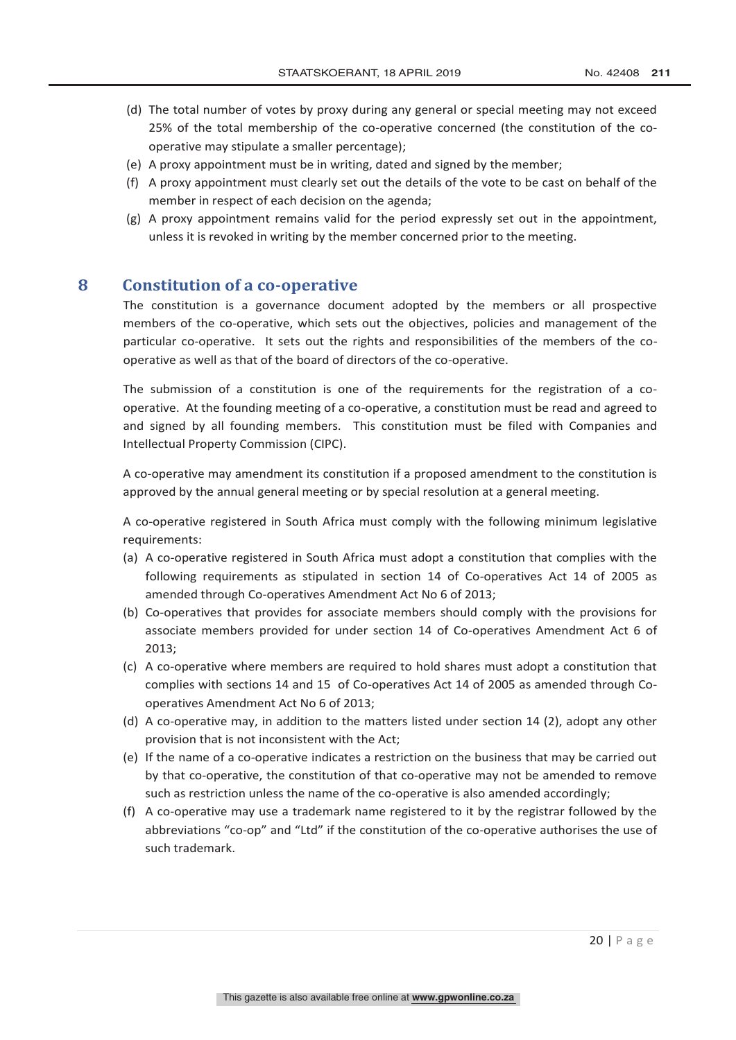- (d) The total number of votes by proxy during any general or special meeting may not exceed 25% of the total membership of the co-operative concerned (the constitution of the cooperative may stipulate a smaller percentage);
- (e) A proxy appointment must be in writing, dated and signed by the member;
- (f) A proxy appointment must clearly set out the details of the vote to be cast on behalf of the member in respect of each decision on the agenda;
- (g) A proxy appointment remains valid for the period expressly set out in the appointment, unless it is revoked in writing by the member concerned prior to the meeting.

# **8 Constitution of a co-operative**

The constitution is a governance document adopted by the members or all prospective members of the co-operative, which sets out the objectives, policies and management of the particular co-operative. It sets out the rights and responsibilities of the members of the cooperative as well as that of the board of directors of the co-operative.

The submission of a constitution is one of the requirements for the registration of a cooperative. At the founding meeting of a co-operative, a constitution must be read and agreed to and signed by all founding members. This constitution must be filed with Companies and Intellectual Property Commission (CIPC).

A co-operative may amendment its constitution if a proposed amendment to the constitution is approved by the annual general meeting or by special resolution at a general meeting.

A co-operative registered in South Africa must comply with the following minimum legislative requirements:

- (a) A co-operative registered in South Africa must adopt a constitution that complies with the following requirements as stipulated in section 14 of Co-operatives Act 14 of 2005 as amended through Co-operatives Amendment Act No 6 of 2013;
- (b) Co-operatives that provides for associate members should comply with the provisions for associate members provided for under section 14 of Co-operatives Amendment Act 6 of 2013;
- (c) A co-operative where members are required to hold shares must adopt a constitution that complies with sections 14 and 15 of Co-operatives Act 14 of 2005 as amended through Cooperatives Amendment Act No 6 of 2013;
- (d) A co-operative may, in addition to the matters listed under section 14 (2), adopt any other provision that is not inconsistent with the Act;
- (e) If the name of a co-operative indicates a restriction on the business that may be carried out by that co-operative, the constitution of that co-operative may not be amended to remove such as restriction unless the name of the co-operative is also amended accordingly;
- (f) A co-operative may use a trademark name registered to it by the registrar followed by the abbreviations "co-op" and "Ltd" if the constitution of the co-operative authorises the use of such trademark.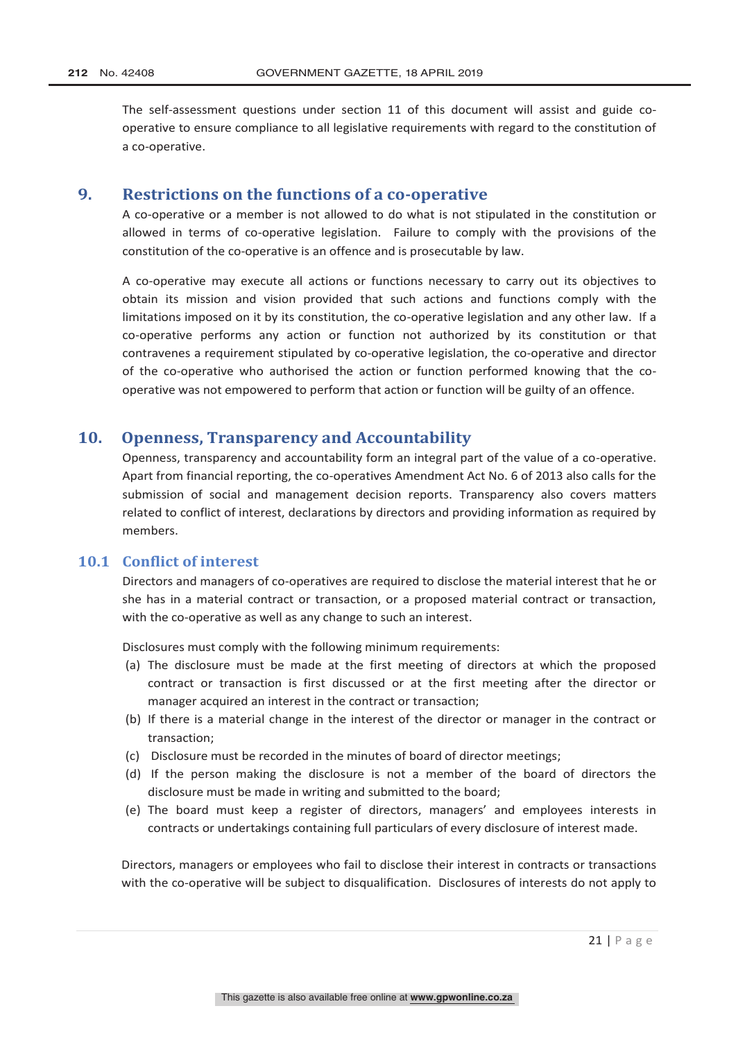The self-assessment questions under section 11 of this document will assist and guide cooperative to ensure compliance to all legislative requirements with regard to the constitution of a co-operative.

#### **9. Restrictions on the functions of a co-operative**

A co-operative or a member is not allowed to do what is not stipulated in the constitution or allowed in terms of co-operative legislation. Failure to comply with the provisions of the constitution of the co-operative is an offence and is prosecutable by law.

A co-operative may execute all actions or functions necessary to carry out its objectives to obtain its mission and vision provided that such actions and functions comply with the limitations imposed on it by its constitution, the co-operative legislation and any other law. If a co-operative performs any action or function not authorized by its constitution or that contravenes a requirement stipulated by co-operative legislation, the co-operative and director of the co-operative who authorised the action or function performed knowing that the cooperative was not empowered to perform that action or function will be guilty of an offence.

# **10. Openness, Transparency and Accountability**

Openness, transparency and accountability form an integral part of the value of a co-operative. Apart from financial reporting, the co-operatives Amendment Act No. 6 of 2013 also calls for the submission of social and management decision reports. Transparency also covers matters related to conflict of interest, declarations by directors and providing information as required by members.

# **10.1 Conflict of interest**

Directors and managers of co-operatives are required to disclose the material interest that he or she has in a material contract or transaction, or a proposed material contract or transaction, with the co-operative as well as any change to such an interest.

Disclosures must comply with the following minimum requirements:

- (a) The disclosure must be made at the first meeting of directors at which the proposed contract or transaction is first discussed or at the first meeting after the director or manager acquired an interest in the contract or transaction;
- (b) If there is a material change in the interest of the director or manager in the contract or transaction;
- (c) Disclosure must be recorded in the minutes of board of director meetings;
- (d) If the person making the disclosure is not a member of the board of directors the disclosure must be made in writing and submitted to the board;
- (e) The board must keep a register of directors, managers' and employees interests in contracts or undertakings containing full particulars of every disclosure of interest made.

Directors, managers or employees who fail to disclose their interest in contracts or transactions with the co-operative will be subject to disqualification. Disclosures of interests do not apply to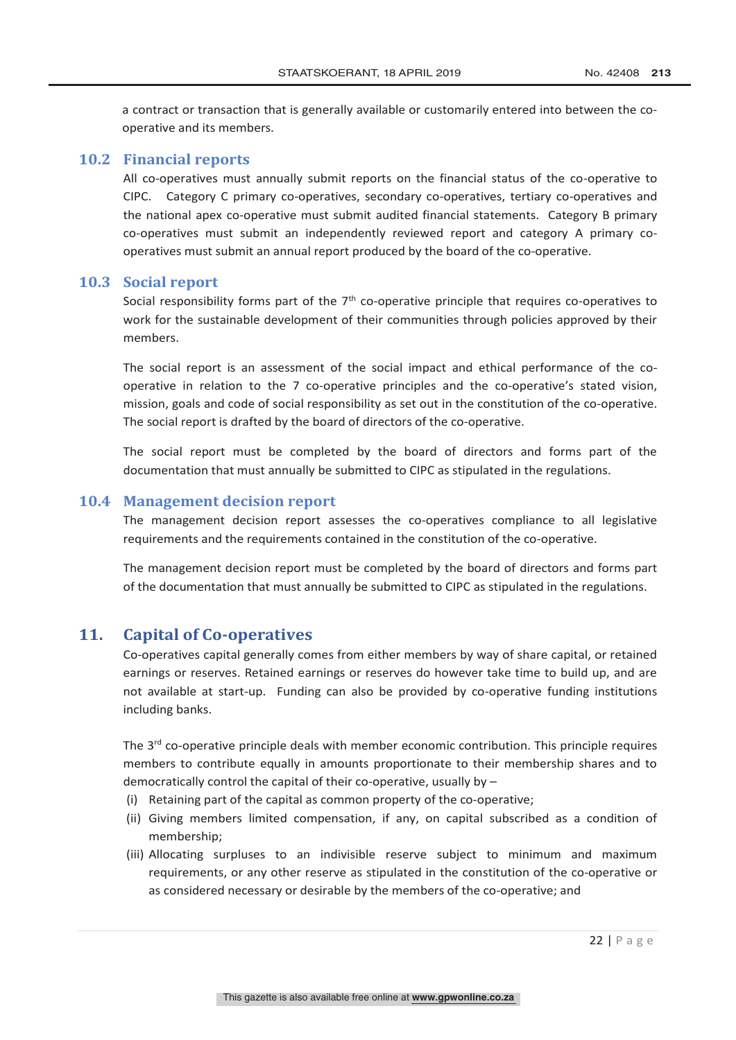a contract or transaction that is generally available or customarily entered into between the cooperative and its members.

#### **10.2 Financial reports**

All co-operatives must annually submit reports on the financial status of the co-operative to CIPC. Category C primary co-operatives, secondary co-operatives, tertiary co-operatives and the national apex co-operative must submit audited financial statements. Category B primary co-operatives must submit an independently reviewed report and category A primary cooperatives must submit an annual report produced by the board of the co-operative.

#### **10.3 Social report**

Social responsibility forms part of the  $7<sup>th</sup>$  co-operative principle that requires co-operatives to work for the sustainable development of their communities through policies approved by their members.

The social report is an assessment of the social impact and ethical performance of the cooperative in relation to the 7 co-operative principles and the co-operative's stated vision, mission, goals and code of social responsibility as set out in the constitution of the co-operative. The social report is drafted by the board of directors of the co-operative.

The social report must be completed by the board of directors and forms part of the documentation that must annually be submitted to CIPC as stipulated in the regulations.

#### **10.4 Management decision report**

The management decision report assesses the co-operatives compliance to all legislative requirements and the requirements contained in the constitution of the co-operative.

The management decision report must be completed by the board of directors and forms part of the documentation that must annually be submitted to CIPC as stipulated in the regulations.

#### **11. Capital of Co-operatives**

Co-operatives capital generally comes from either members by way of share capital, or retained earnings or reserves. Retained earnings or reserves do however take time to build up, and are not available at start-up. Funding can also be provided by co-operative funding institutions including banks.

The  $3<sup>rd</sup>$  co-operative principle deals with member economic contribution. This principle requires members to contribute equally in amounts proportionate to their membership shares and to democratically control the capital of their co-operative, usually by –

- (i) Retaining part of the capital as common property of the co-operative;
- (ii) Giving members limited compensation, if any, on capital subscribed as a condition of membership;
- (iii) Allocating surpluses to an indivisible reserve subject to minimum and maximum requirements, or any other reserve as stipulated in the constitution of the co-operative or as considered necessary or desirable by the members of the co-operative; and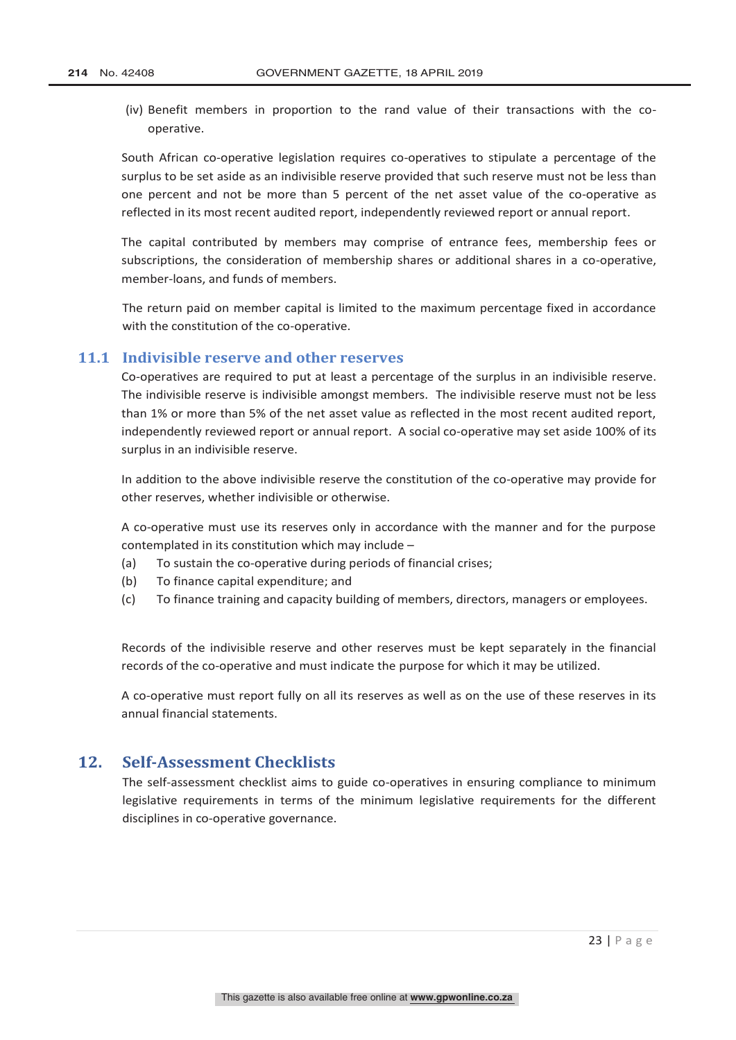(iv) Benefit members in proportion to the rand value of their transactions with the cooperative.

South African co-operative legislation requires co-operatives to stipulate a percentage of the surplus to be set aside as an indivisible reserve provided that such reserve must not be less than one percent and not be more than 5 percent of the net asset value of the co-operative as reflected in its most recent audited report, independently reviewed report or annual report.

The capital contributed by members may comprise of entrance fees, membership fees or subscriptions, the consideration of membership shares or additional shares in a co-operative, member-loans, and funds of members.

The return paid on member capital is limited to the maximum percentage fixed in accordance with the constitution of the co-operative.

#### **11.1 Indivisible reserve and other reserves**

Co-operatives are required to put at least a percentage of the surplus in an indivisible reserve. The indivisible reserve is indivisible amongst members. The indivisible reserve must not be less than 1% or more than 5% of the net asset value as reflected in the most recent audited report, independently reviewed report or annual report. A social co-operative may set aside 100% of its surplus in an indivisible reserve.

In addition to the above indivisible reserve the constitution of the co-operative may provide for other reserves, whether indivisible or otherwise.

A co-operative must use its reserves only in accordance with the manner and for the purpose contemplated in its constitution which may include –

- (a) To sustain the co-operative during periods of financial crises;
- (b) To finance capital expenditure; and
- (c) To finance training and capacity building of members, directors, managers or employees.

Records of the indivisible reserve and other reserves must be kept separately in the financial records of the co-operative and must indicate the purpose for which it may be utilized.

A co-operative must report fully on all its reserves as well as on the use of these reserves in its annual financial statements.

# **12. Self-Assessment Checklists**

The self-assessment checklist aims to guide co-operatives in ensuring compliance to minimum legislative requirements in terms of the minimum legislative requirements for the different disciplines in co-operative governance.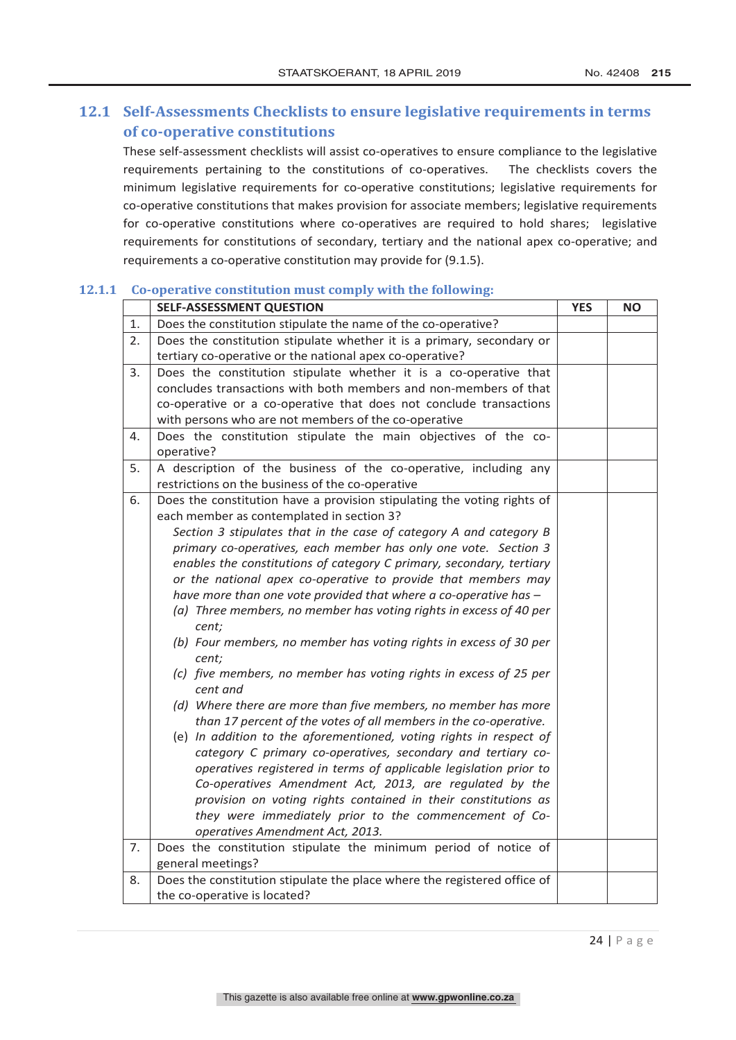# **12.1 Self-Assessments Checklists to ensure legislative requirements in terms of co-operative constitutions**

These self-assessment checklists will assist co-operatives to ensure compliance to the legislative requirements pertaining to the constitutions of co-operatives. The checklists covers the minimum legislative requirements for co-operative constitutions; legislative requirements for co-operative constitutions that makes provision for associate members; legislative requirements for co-operative constitutions where co-operatives are required to hold shares; legislative requirements for constitutions of secondary, tertiary and the national apex co-operative; and requirements a co-operative constitution may provide for (9.1.5).

#### **12.1.1 Co-operative constitution must comply with the following:**

|    | <b>SELF-ASSESSMENT QUESTION</b>                                             | <b>YES</b> | <b>NO</b> |
|----|-----------------------------------------------------------------------------|------------|-----------|
| 1. | Does the constitution stipulate the name of the co-operative?               |            |           |
| 2. | Does the constitution stipulate whether it is a primary, secondary or       |            |           |
|    | tertiary co-operative or the national apex co-operative?                    |            |           |
| 3. | Does the constitution stipulate whether it is a co-operative that           |            |           |
|    | concludes transactions with both members and non-members of that            |            |           |
|    | co-operative or a co-operative that does not conclude transactions          |            |           |
|    | with persons who are not members of the co-operative                        |            |           |
| 4. | Does the constitution stipulate the main objectives of the co-              |            |           |
|    | operative?                                                                  |            |           |
| 5. | A description of the business of the co-operative, including any            |            |           |
|    | restrictions on the business of the co-operative                            |            |           |
| 6. | Does the constitution have a provision stipulating the voting rights of     |            |           |
|    | each member as contemplated in section 3?                                   |            |           |
|    | Section 3 stipulates that in the case of category A and category B          |            |           |
|    | primary co-operatives, each member has only one vote. Section 3             |            |           |
|    | enables the constitutions of category C primary, secondary, tertiary        |            |           |
|    | or the national apex co-operative to provide that members may               |            |           |
|    | have more than one vote provided that where a co-operative has -            |            |           |
|    | (a) Three members, no member has voting rights in excess of 40 per<br>cent; |            |           |
|    | (b) Four members, no member has voting rights in excess of 30 per           |            |           |
|    | cent;                                                                       |            |           |
|    | (c) five members, no member has voting rights in excess of 25 per           |            |           |
|    | cent and                                                                    |            |           |
|    | (d) Where there are more than five members, no member has more              |            |           |
|    | than 17 percent of the votes of all members in the co-operative.            |            |           |
|    | (e) In addition to the aforementioned, voting rights in respect of          |            |           |
|    | category C primary co-operatives, secondary and tertiary co-                |            |           |
|    | operatives registered in terms of applicable legislation prior to           |            |           |
|    | Co-operatives Amendment Act, 2013, are regulated by the                     |            |           |
|    | provision on voting rights contained in their constitutions as              |            |           |
|    | they were immediately prior to the commencement of Co-                      |            |           |
|    | operatives Amendment Act, 2013.                                             |            |           |
| 7. | Does the constitution stipulate the minimum period of notice of             |            |           |
|    | general meetings?                                                           |            |           |
| 8. | Does the constitution stipulate the place where the registered office of    |            |           |
|    | the co-operative is located?                                                |            |           |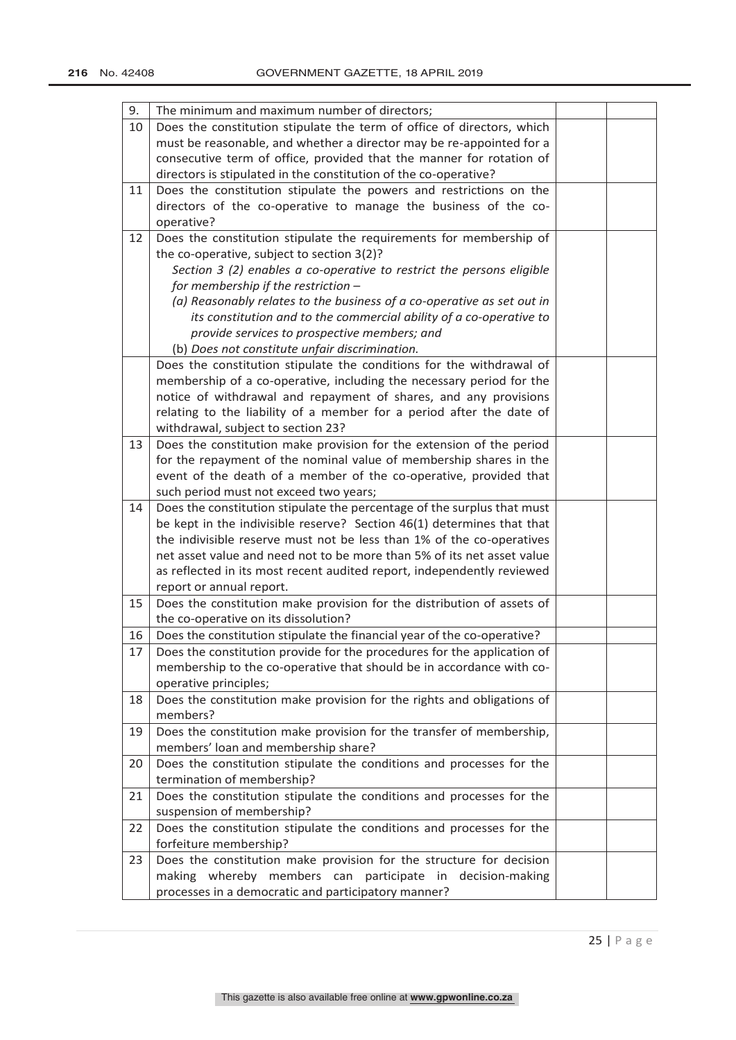| 9. | The minimum and maximum number of directors;                            |  |
|----|-------------------------------------------------------------------------|--|
| 10 | Does the constitution stipulate the term of office of directors, which  |  |
|    | must be reasonable, and whether a director may be re-appointed for a    |  |
|    | consecutive term of office, provided that the manner for rotation of    |  |
|    | directors is stipulated in the constitution of the co-operative?        |  |
| 11 | Does the constitution stipulate the powers and restrictions on the      |  |
|    | directors of the co-operative to manage the business of the co-         |  |
|    | operative?                                                              |  |
| 12 | Does the constitution stipulate the requirements for membership of      |  |
|    | the co-operative, subject to section 3(2)?                              |  |
|    | Section 3 (2) enables a co-operative to restrict the persons eligible   |  |
|    | for membership if the restriction -                                     |  |
|    | (a) Reasonably relates to the business of a co-operative as set out in  |  |
|    | its constitution and to the commercial ability of a co-operative to     |  |
|    | provide services to prospective members; and                            |  |
|    | (b) Does not constitute unfair discrimination.                          |  |
|    | Does the constitution stipulate the conditions for the withdrawal of    |  |
|    | membership of a co-operative, including the necessary period for the    |  |
|    | notice of withdrawal and repayment of shares, and any provisions        |  |
|    | relating to the liability of a member for a period after the date of    |  |
|    | withdrawal, subject to section 23?                                      |  |
| 13 | Does the constitution make provision for the extension of the period    |  |
|    | for the repayment of the nominal value of membership shares in the      |  |
|    | event of the death of a member of the co-operative, provided that       |  |
|    | such period must not exceed two years;                                  |  |
| 14 | Does the constitution stipulate the percentage of the surplus that must |  |
|    | be kept in the indivisible reserve? Section 46(1) determines that that  |  |
|    | the indivisible reserve must not be less than 1% of the co-operatives   |  |
|    | net asset value and need not to be more than 5% of its net asset value  |  |
|    | as reflected in its most recent audited report, independently reviewed  |  |
|    | report or annual report.                                                |  |
| 15 | Does the constitution make provision for the distribution of assets of  |  |
|    | the co-operative on its dissolution?                                    |  |
| 16 | Does the constitution stipulate the financial year of the co-operative? |  |
| 17 | Does the constitution provide for the procedures for the application of |  |
|    | membership to the co-operative that should be in accordance with co-    |  |
|    | operative principles;                                                   |  |
| 18 | Does the constitution make provision for the rights and obligations of  |  |
|    | members?                                                                |  |
| 19 | Does the constitution make provision for the transfer of membership,    |  |
|    | members' loan and membership share?                                     |  |
| 20 | Does the constitution stipulate the conditions and processes for the    |  |
|    | termination of membership?                                              |  |
| 21 | Does the constitution stipulate the conditions and processes for the    |  |
|    | suspension of membership?                                               |  |
| 22 | Does the constitution stipulate the conditions and processes for the    |  |
|    | forfeiture membership?                                                  |  |
| 23 | Does the constitution make provision for the structure for decision     |  |
|    | making whereby members can participate in decision-making               |  |
|    | processes in a democratic and participatory manner?                     |  |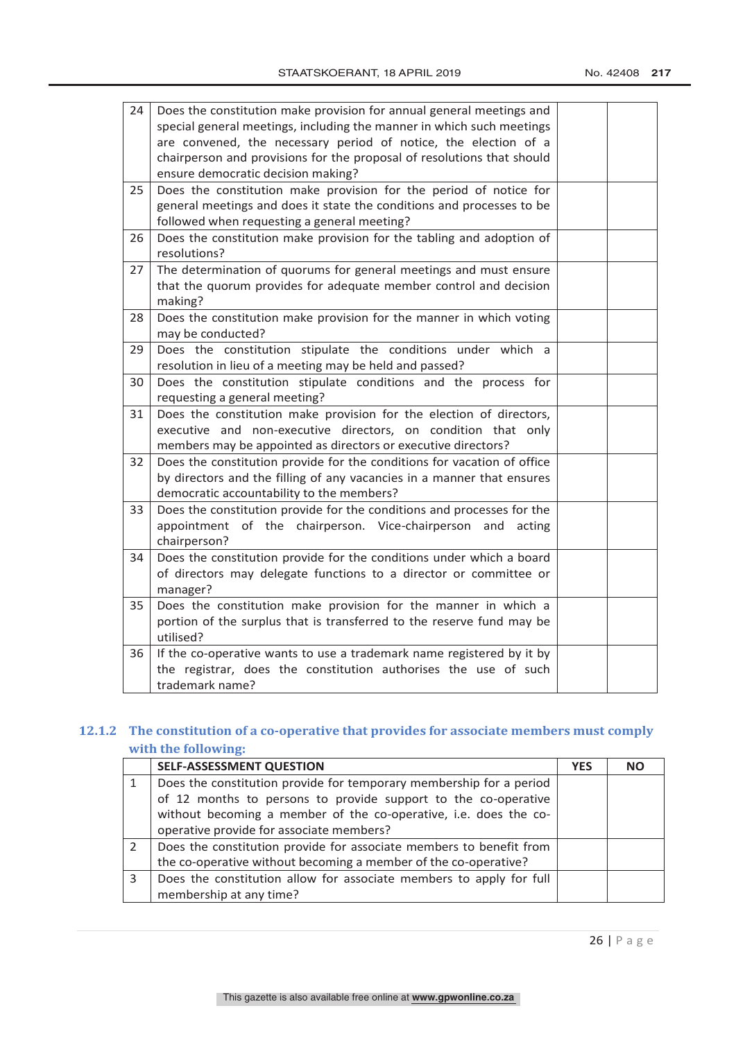| 24 | Does the constitution make provision for annual general meetings and<br>special general meetings, including the manner in which such meetings<br>are convened, the necessary period of notice, the election of a |  |
|----|------------------------------------------------------------------------------------------------------------------------------------------------------------------------------------------------------------------|--|
|    | chairperson and provisions for the proposal of resolutions that should                                                                                                                                           |  |
|    | ensure democratic decision making?                                                                                                                                                                               |  |
| 25 | Does the constitution make provision for the period of notice for                                                                                                                                                |  |
|    | general meetings and does it state the conditions and processes to be                                                                                                                                            |  |
|    | followed when requesting a general meeting?                                                                                                                                                                      |  |
| 26 | Does the constitution make provision for the tabling and adoption of                                                                                                                                             |  |
|    | resolutions?                                                                                                                                                                                                     |  |
| 27 | The determination of quorums for general meetings and must ensure                                                                                                                                                |  |
|    | that the quorum provides for adequate member control and decision                                                                                                                                                |  |
|    | making?                                                                                                                                                                                                          |  |
| 28 | Does the constitution make provision for the manner in which voting                                                                                                                                              |  |
|    | may be conducted?                                                                                                                                                                                                |  |
| 29 | Does the constitution stipulate the conditions under which a                                                                                                                                                     |  |
|    | resolution in lieu of a meeting may be held and passed?                                                                                                                                                          |  |
| 30 | Does the constitution stipulate conditions and the process for                                                                                                                                                   |  |
|    | requesting a general meeting?                                                                                                                                                                                    |  |
| 31 | Does the constitution make provision for the election of directors,                                                                                                                                              |  |
|    | executive and non-executive directors, on condition that only                                                                                                                                                    |  |
|    | members may be appointed as directors or executive directors?                                                                                                                                                    |  |
| 32 | Does the constitution provide for the conditions for vacation of office                                                                                                                                          |  |
|    | by directors and the filling of any vacancies in a manner that ensures                                                                                                                                           |  |
|    | democratic accountability to the members?                                                                                                                                                                        |  |
| 33 | Does the constitution provide for the conditions and processes for the                                                                                                                                           |  |
|    | appointment of the chairperson. Vice-chairperson and acting                                                                                                                                                      |  |
|    | chairperson?                                                                                                                                                                                                     |  |
| 34 | Does the constitution provide for the conditions under which a board                                                                                                                                             |  |
|    | of directors may delegate functions to a director or committee or                                                                                                                                                |  |
|    | manager?                                                                                                                                                                                                         |  |
| 35 | Does the constitution make provision for the manner in which a                                                                                                                                                   |  |
|    | portion of the surplus that is transferred to the reserve fund may be                                                                                                                                            |  |
|    | utilised?                                                                                                                                                                                                        |  |
| 36 | If the co-operative wants to use a trademark name registered by it by                                                                                                                                            |  |
|    | the registrar, does the constitution authorises the use of such                                                                                                                                                  |  |
|    | trademark name?                                                                                                                                                                                                  |  |

# **12.1.2 The constitution of a co-operative that provides for associate members must comply with the following:**

|   | <b>SELF-ASSESSMENT QUESTION</b>                                     | <b>YES</b> | <b>NO</b> |
|---|---------------------------------------------------------------------|------------|-----------|
|   | Does the constitution provide for temporary membership for a period |            |           |
|   | of 12 months to persons to provide support to the co-operative      |            |           |
|   | without becoming a member of the co-operative, i.e. does the co-    |            |           |
|   | operative provide for associate members?                            |            |           |
|   | Does the constitution provide for associate members to benefit from |            |           |
|   | the co-operative without becoming a member of the co-operative?     |            |           |
| 3 | Does the constitution allow for associate members to apply for full |            |           |
|   | membership at any time?                                             |            |           |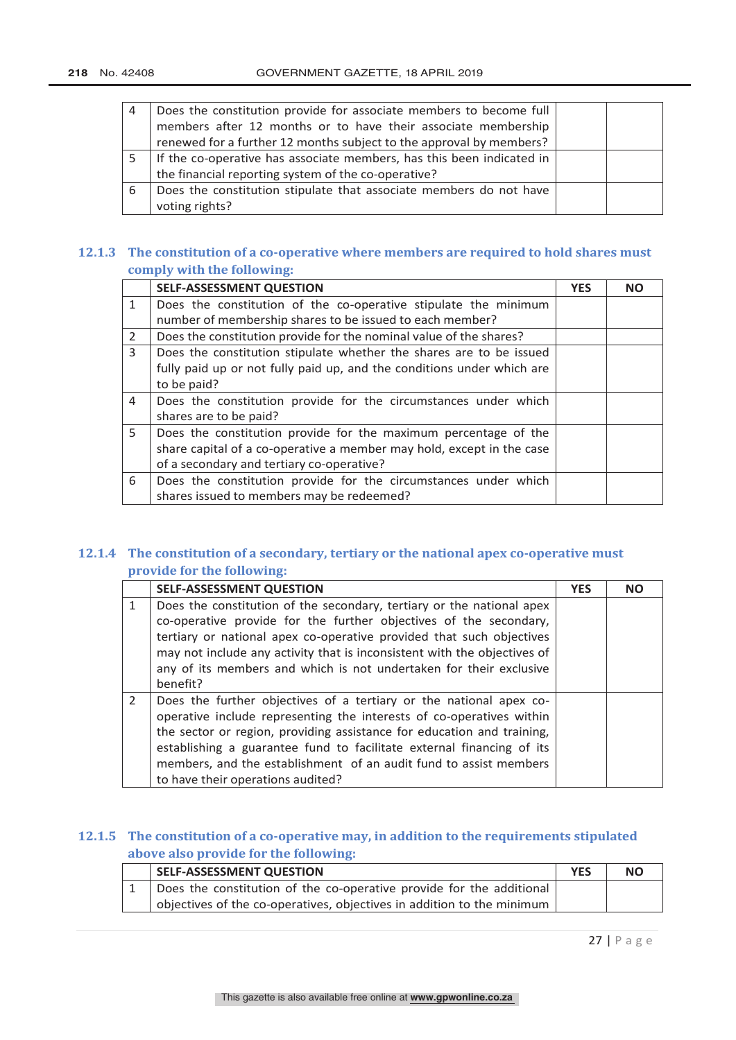| 4 | Does the constitution provide for associate members to become full<br>members after 12 months or to have their associate membership<br>renewed for a further 12 months subject to the approval by members? |  |
|---|------------------------------------------------------------------------------------------------------------------------------------------------------------------------------------------------------------|--|
|   | If the co-operative has associate members, has this been indicated in<br>the financial reporting system of the co-operative?                                                                               |  |
| 6 | Does the constitution stipulate that associate members do not have<br>voting rights?                                                                                                                       |  |

# **12.1.3 The constitution of a co-operative where members are required to hold shares must comply with the following:**

|              | <b>SELF-ASSESSMENT QUESTION</b>                                        | <b>YES</b> | <b>NO</b> |
|--------------|------------------------------------------------------------------------|------------|-----------|
| $\mathbf{1}$ | Does the constitution of the co-operative stipulate the minimum        |            |           |
|              | number of membership shares to be issued to each member?               |            |           |
| 2            | Does the constitution provide for the nominal value of the shares?     |            |           |
| 3            | Does the constitution stipulate whether the shares are to be issued    |            |           |
|              | fully paid up or not fully paid up, and the conditions under which are |            |           |
|              | to be paid?                                                            |            |           |
| 4            | Does the constitution provide for the circumstances under which        |            |           |
|              | shares are to be paid?                                                 |            |           |
| 5            | Does the constitution provide for the maximum percentage of the        |            |           |
|              | share capital of a co-operative a member may hold, except in the case  |            |           |
|              | of a secondary and tertiary co-operative?                              |            |           |
| 6            | Does the constitution provide for the circumstances under which        |            |           |
|              | shares issued to members may be redeemed?                              |            |           |

# **12.1.4 The constitution of a secondary, tertiary or the national apex co-operative must provide for the following:**

|               | <b>SELF-ASSESSMENT QUESTION</b>                                                                                                                                                                                                                                                                                                                                                                         | <b>YES</b> | <b>NO</b> |
|---------------|---------------------------------------------------------------------------------------------------------------------------------------------------------------------------------------------------------------------------------------------------------------------------------------------------------------------------------------------------------------------------------------------------------|------------|-----------|
|               | Does the constitution of the secondary, tertiary or the national apex<br>co-operative provide for the further objectives of the secondary,<br>tertiary or national apex co-operative provided that such objectives<br>may not include any activity that is inconsistent with the objectives of<br>any of its members and which is not undertaken for their exclusive                                    |            |           |
|               | benefit?                                                                                                                                                                                                                                                                                                                                                                                                |            |           |
| $\mathcal{P}$ | Does the further objectives of a tertiary or the national apex co-<br>operative include representing the interests of co-operatives within<br>the sector or region, providing assistance for education and training,<br>establishing a guarantee fund to facilitate external financing of its<br>members, and the establishment of an audit fund to assist members<br>to have their operations audited? |            |           |

# **12.1.5 The constitution of a co-operative may, in addition to the requirements stipulated above also provide for the following:**

| SELF-ASSESSMENT QUESTION                                               | <b>YES</b> | <b>NO</b> |
|------------------------------------------------------------------------|------------|-----------|
| Does the constitution of the co-operative provide for the additional   |            |           |
| objectives of the co-operatives, objectives in addition to the minimum |            |           |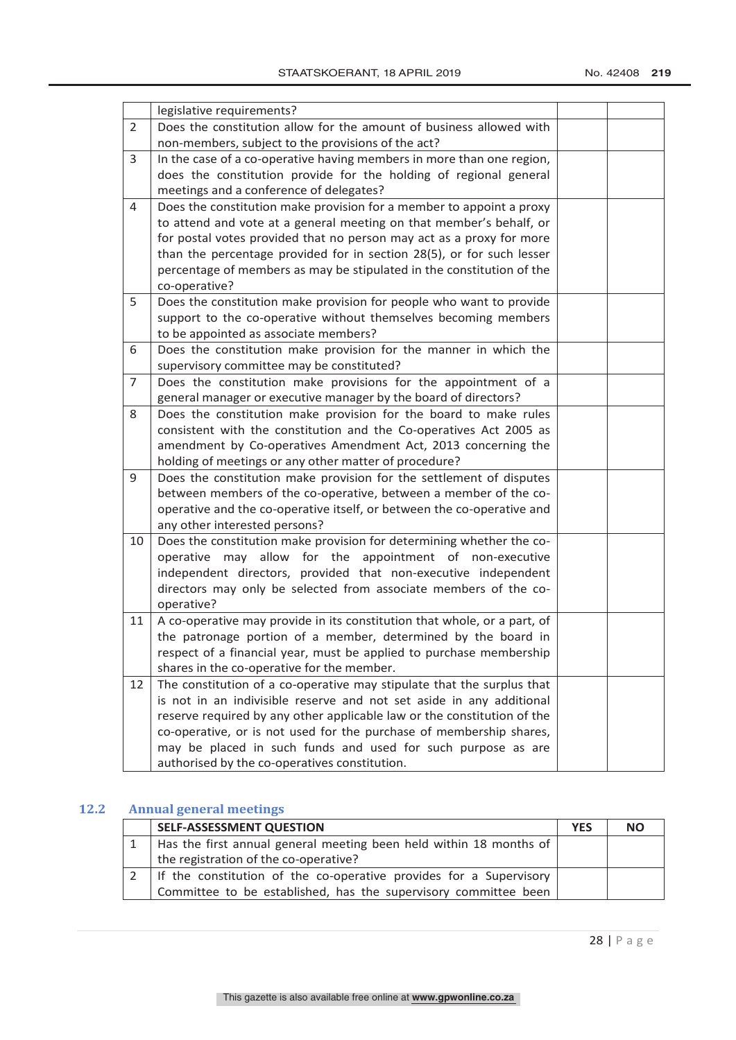|                | legislative requirements?                                                                               |  |
|----------------|---------------------------------------------------------------------------------------------------------|--|
| $\overline{2}$ | Does the constitution allow for the amount of business allowed with                                     |  |
|                | non-members, subject to the provisions of the act?                                                      |  |
| 3              | In the case of a co-operative having members in more than one region,                                   |  |
|                | does the constitution provide for the holding of regional general                                       |  |
|                | meetings and a conference of delegates?                                                                 |  |
| 4              | Does the constitution make provision for a member to appoint a proxy                                    |  |
|                | to attend and vote at a general meeting on that member's behalf, or                                     |  |
|                | for postal votes provided that no person may act as a proxy for more                                    |  |
|                | than the percentage provided for in section 28(5), or for such lesser                                   |  |
|                | percentage of members as may be stipulated in the constitution of the                                   |  |
|                | co-operative?                                                                                           |  |
| 5              | Does the constitution make provision for people who want to provide                                     |  |
|                | support to the co-operative without themselves becoming members                                         |  |
|                | to be appointed as associate members?                                                                   |  |
| 6              | Does the constitution make provision for the manner in which the                                        |  |
|                | supervisory committee may be constituted?                                                               |  |
| $\overline{7}$ | Does the constitution make provisions for the appointment of a                                          |  |
|                | general manager or executive manager by the board of directors?                                         |  |
| 8              | Does the constitution make provision for the board to make rules                                        |  |
|                | consistent with the constitution and the Co-operatives Act 2005 as                                      |  |
|                | amendment by Co-operatives Amendment Act, 2013 concerning the                                           |  |
|                | holding of meetings or any other matter of procedure?                                                   |  |
| 9              | Does the constitution make provision for the settlement of disputes                                     |  |
|                | between members of the co-operative, between a member of the co-                                        |  |
|                | operative and the co-operative itself, or between the co-operative and<br>any other interested persons? |  |
| 10             | Does the constitution make provision for determining whether the co-                                    |  |
|                | operative may allow for the appointment of non-executive                                                |  |
|                | independent directors, provided that non-executive independent                                          |  |
|                | directors may only be selected from associate members of the co-                                        |  |
|                | operative?                                                                                              |  |
| 11             | A co-operative may provide in its constitution that whole, or a part, of                                |  |
|                | the patronage portion of a member, determined by the board in                                           |  |
|                | respect of a financial year, must be applied to purchase membership                                     |  |
|                | shares in the co-operative for the member.                                                              |  |
| 12             | The constitution of a co-operative may stipulate that the surplus that                                  |  |
|                | is not in an indivisible reserve and not set aside in any additional                                    |  |
|                | reserve required by any other applicable law or the constitution of the                                 |  |
|                | co-operative, or is not used for the purchase of membership shares,                                     |  |
|                | may be placed in such funds and used for such purpose as are                                            |  |
|                | authorised by the co-operatives constitution.                                                           |  |

# **12.2 Annual general meetings**

| <b>SELF-ASSESSMENT QUESTION</b>                                    | <b>YES</b> | <b>NO</b> |
|--------------------------------------------------------------------|------------|-----------|
| Has the first annual general meeting been held within 18 months of |            |           |
| the registration of the co-operative?                              |            |           |
| If the constitution of the co-operative provides for a Supervisory |            |           |
| Committee to be established, has the supervisory committee been    |            |           |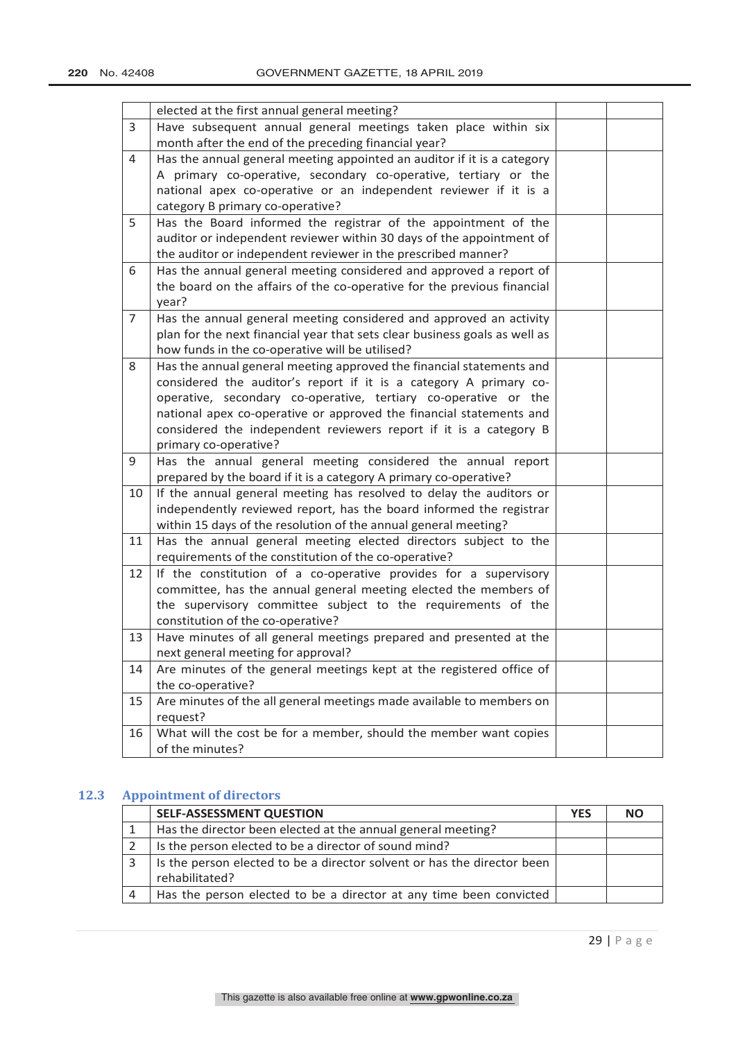|                | elected at the first annual general meeting?                               |  |
|----------------|----------------------------------------------------------------------------|--|
| 3              | Have subsequent annual general meetings taken place within six             |  |
|                | month after the end of the preceding financial year?                       |  |
| 4              | Has the annual general meeting appointed an auditor if it is a category    |  |
|                | A primary co-operative, secondary co-operative, tertiary or the            |  |
|                | national apex co-operative or an independent reviewer if it is a           |  |
|                | category B primary co-operative?                                           |  |
| 5              | Has the Board informed the registrar of the appointment of the             |  |
|                | auditor or independent reviewer within 30 days of the appointment of       |  |
|                | the auditor or independent reviewer in the prescribed manner?              |  |
| 6              | Has the annual general meeting considered and approved a report of         |  |
|                | the board on the affairs of the co-operative for the previous financial    |  |
|                | year?                                                                      |  |
| $\overline{7}$ | Has the annual general meeting considered and approved an activity         |  |
|                | plan for the next financial year that sets clear business goals as well as |  |
|                | how funds in the co-operative will be utilised?                            |  |
| 8              | Has the annual general meeting approved the financial statements and       |  |
|                | considered the auditor's report if it is a category A primary co-          |  |
|                | operative, secondary co-operative, tertiary co-operative or the            |  |
|                | national apex co-operative or approved the financial statements and        |  |
|                | considered the independent reviewers report if it is a category B          |  |
|                | primary co-operative?                                                      |  |
| 9              | Has the annual general meeting considered the annual report                |  |
|                | prepared by the board if it is a category A primary co-operative?          |  |
| 10             | If the annual general meeting has resolved to delay the auditors or        |  |
|                | independently reviewed report, has the board informed the registrar        |  |
|                | within 15 days of the resolution of the annual general meeting?            |  |
| 11             | Has the annual general meeting elected directors subject to the            |  |
|                | requirements of the constitution of the co-operative?                      |  |
| 12             | If the constitution of a co-operative provides for a supervisory           |  |
|                | committee, has the annual general meeting elected the members of           |  |
|                | the supervisory committee subject to the requirements of the               |  |
|                | constitution of the co-operative?                                          |  |
| 13             | Have minutes of all general meetings prepared and presented at the         |  |
|                | next general meeting for approval?                                         |  |
| 14             | Are minutes of the general meetings kept at the registered office of       |  |
|                | the co-operative?                                                          |  |
| 15             | Are minutes of the all general meetings made available to members on       |  |
|                | request?                                                                   |  |
| 16             | What will the cost be for a member, should the member want copies          |  |
|                | of the minutes?                                                            |  |

# **12.3 Appointment of directors**

| <b>SELF-ASSESSMENT QUESTION</b>                                         | <b>YES</b> | <b>NO</b> |
|-------------------------------------------------------------------------|------------|-----------|
| Has the director been elected at the annual general meeting?            |            |           |
| Is the person elected to be a director of sound mind?                   |            |           |
| Is the person elected to be a director solvent or has the director been |            |           |
| rehabilitated?                                                          |            |           |
| Has the person elected to be a director at any time been convicted      |            |           |